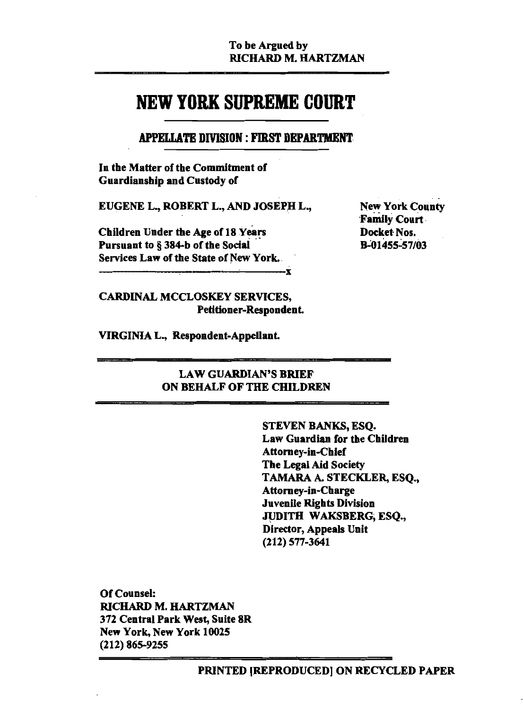.v

# **NEW YORK SUPREME COURT**

# **APPELLATE DIVISION: FIRST DEPARTMENT**

In the Matter of the Commitment of Guardianship and Custody of

EUGENE L., ROBERT L., AND JOSEPH L.,

**Children Under the Age of 18 Years** Pursuant to § 384-b of the Social Services Law of the State of New York.

**New York County Family Court** Docket Nos. **B-01455-57/03** 

# **CARDINAL MCCLOSKEY SERVICES, Petitioner-Respondent.**

VIRGINIA L., Respondent-Appellant.

# **LAW GUARDIAN'S BRIEF** ON BEHALF OF THE CHILDREN

STEVEN BANKS, ESQ. Law Guardian for the Children **Attorney-in-Chief The Legal Aid Society** TAMARA A. STECKLER, ESO., **Attorney-in-Charge Juvenile Rights Division** JUDITH WAKSBERG, ESO., Director, Appeals Unit  $(212)$  577-3641

**Of Counsel:** RICHARD M. HARTZMAN 372 Central Park West, Suite 8R New York, New York 10025  $(212)$  865-9255

PRINTED [REPRODUCED] ON RECYCLED PAPER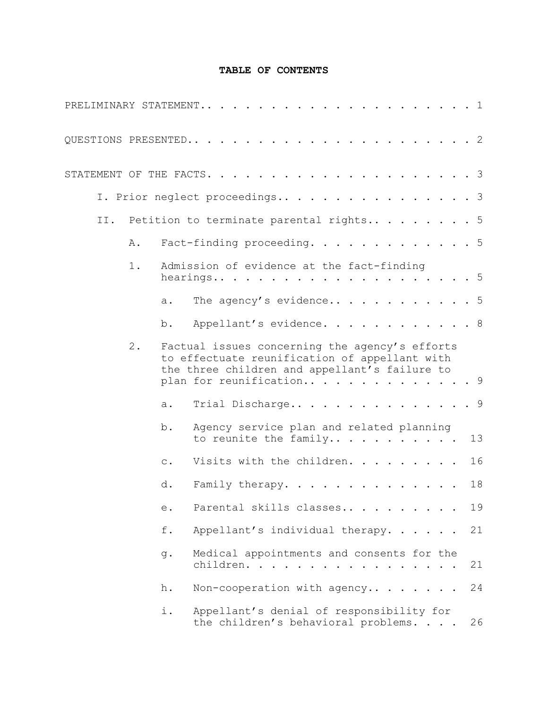## **TABLE OF CONTENTS**

|     |       |                | PRELIMINARY STATEMENT<br>. 1                                                                                                                     |  |    |    |
|-----|-------|----------------|--------------------------------------------------------------------------------------------------------------------------------------------------|--|----|----|
|     |       |                |                                                                                                                                                  |  |    |    |
|     |       |                |                                                                                                                                                  |  |    |    |
|     |       |                | I. Prior neglect proceedings 3                                                                                                                   |  |    |    |
| II. |       |                | Petition to terminate parental rights5                                                                                                           |  |    |    |
|     | Α.    |                | Fact-finding proceeding. 5                                                                                                                       |  |    |    |
|     | 1.    |                | Admission of evidence at the fact-finding                                                                                                        |  | .5 |    |
|     |       | a.             | The agency's evidence 5                                                                                                                          |  |    |    |
|     |       | b.             | Appellant's evidence. 8                                                                                                                          |  |    |    |
|     | $2$ . |                | Factual issues concerning the agency's efforts<br>to effectuate reunification of appellant with<br>the three children and appellant's failure to |  |    |    |
|     |       |                | plan for reunification 9                                                                                                                         |  |    |    |
|     |       | a.             | Trial Discharge                                                                                                                                  |  | .9 |    |
|     |       | $b$ .          | Agency service plan and related planning<br>to reunite the family                                                                                |  |    | 13 |
|     |       | $\mathsf{C}$ . | Visits with the children.                                                                                                                        |  |    | 16 |
|     |       | d.             | Family therapy.                                                                                                                                  |  |    | 18 |
|     |       | е.             | Parental skills classes                                                                                                                          |  |    | 19 |
|     |       | f.             | Appellant's individual therapy.                                                                                                                  |  |    | 21 |
|     |       | g.             | Medical appointments and consents for the<br>children.                                                                                           |  |    | 21 |
|     |       | h.             | Non-cooperation with agency                                                                                                                      |  |    | 24 |
|     |       | i.             | Appellant's denial of responsibility for<br>the children's behavioral problems.                                                                  |  |    | 26 |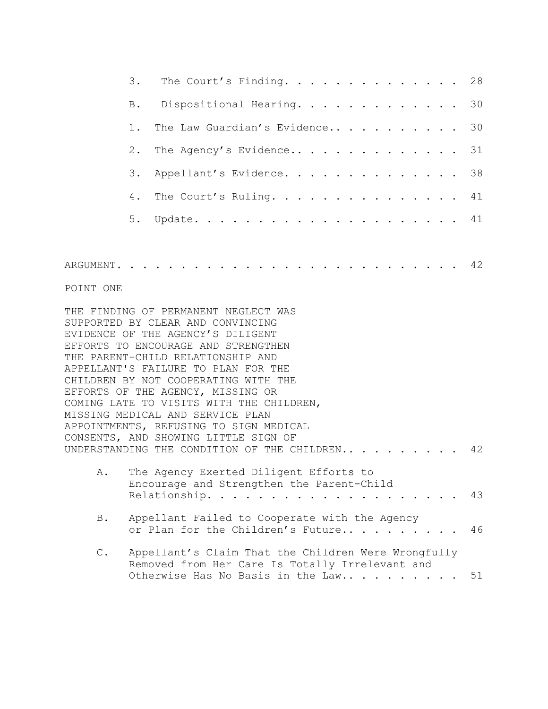|               | 3.    | The Court's Finding.                                                                                                                                                                                                                                                                                                                                                                                                                                                             | 28 |
|---------------|-------|----------------------------------------------------------------------------------------------------------------------------------------------------------------------------------------------------------------------------------------------------------------------------------------------------------------------------------------------------------------------------------------------------------------------------------------------------------------------------------|----|
|               | B.    | Dispositional Hearing.                                                                                                                                                                                                                                                                                                                                                                                                                                                           | 30 |
|               | $1$ . | The Law Guardian's Evidence                                                                                                                                                                                                                                                                                                                                                                                                                                                      | 30 |
|               | $2$ . | The Agency's Evidence                                                                                                                                                                                                                                                                                                                                                                                                                                                            | 31 |
|               | 3.    | Appellant's Evidence.                                                                                                                                                                                                                                                                                                                                                                                                                                                            | 38 |
|               | 4.    | The Court's Ruling.                                                                                                                                                                                                                                                                                                                                                                                                                                                              | 41 |
|               | 5.    |                                                                                                                                                                                                                                                                                                                                                                                                                                                                                  |    |
|               |       |                                                                                                                                                                                                                                                                                                                                                                                                                                                                                  |    |
|               |       |                                                                                                                                                                                                                                                                                                                                                                                                                                                                                  |    |
| POINT ONE     |       |                                                                                                                                                                                                                                                                                                                                                                                                                                                                                  |    |
|               |       | THE FINDING OF PERMANENT NEGLECT WAS<br>SUPPORTED BY CLEAR AND CONVINCING<br>EVIDENCE OF THE AGENCY'S DILIGENT<br>EFFORTS TO ENCOURAGE AND STRENGTHEN<br>THE PARENT-CHILD RELATIONSHIP AND<br>APPELLANT'S FAILURE TO PLAN FOR THE<br>CHILDREN BY NOT COOPERATING WITH THE<br>EFFORTS OF THE AGENCY, MISSING OR<br>COMING LATE TO VISITS WITH THE CHILDREN,<br>MISSING MEDICAL AND SERVICE PLAN<br>APPOINTMENTS, REFUSING TO SIGN MEDICAL<br>CONSENTS, AND SHOWING LITTLE SIGN OF |    |
|               |       | UNDERSTANDING THE CONDITION OF THE CHILDREN                                                                                                                                                                                                                                                                                                                                                                                                                                      | 42 |
| A.            |       | The Agency Exerted Diligent Efforts to<br>Encourage and Strengthen the Parent-Child<br>Relationship.                                                                                                                                                                                                                                                                                                                                                                             | 43 |
| $B$ .         |       | Appellant Failed to Cooperate with the Agency<br>or Plan for the Children's Future                                                                                                                                                                                                                                                                                                                                                                                               | 46 |
| $\mathbb C$ . |       | Appellant's Claim That the Children Were Wrongfully<br>Removed from Her Care Is Totally Irrelevant and<br>Otherwise Has No Basis in the Law                                                                                                                                                                                                                                                                                                                                      | 51 |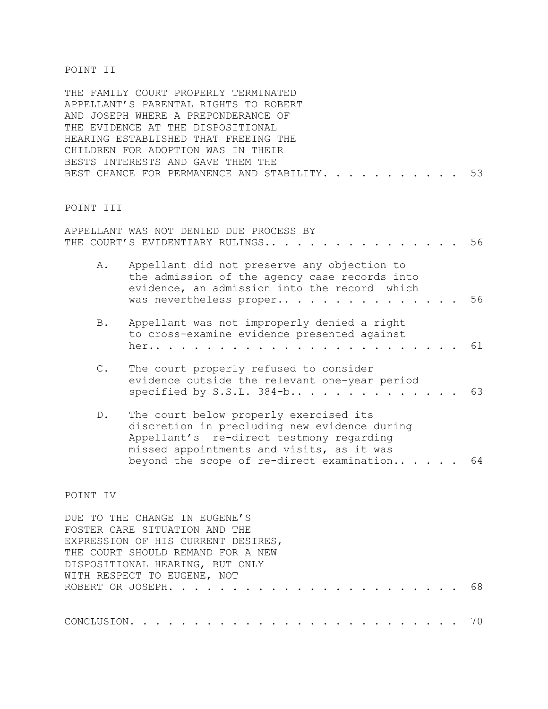#### POINT II

THE FAMILY COURT PROPERLY TERMINATED APPELLANT'S PARENTAL RIGHTS TO ROBERT AND JOSEPH WHERE A PREPONDERANCE OF THE EVIDENCE AT THE DISPOSITIONAL HEARING ESTABLISHED THAT FREEING THE CHILDREN FOR ADOPTION WAS IN THEIR BESTS INTERESTS AND GAVE THEM THE BEST CHANCE FOR PERMANENCE AND STABILITY. . . . . . . . . . . 53

#### POINT III

|                | APPELLANT WAS NOT DENIED DUE PROCESS BY                                                                                                                                                                                      |    |
|----------------|------------------------------------------------------------------------------------------------------------------------------------------------------------------------------------------------------------------------------|----|
|                | THE COURT'S EVIDENTIARY RULINGS                                                                                                                                                                                              | 56 |
| Α.             | Appellant did not preserve any objection to<br>the admission of the agency case records into<br>evidence, an admission into the record which<br>was nevertheless proper                                                      | 56 |
| B.             | Appellant was not improperly denied a right<br>to cross-examine evidence presented against<br>her                                                                                                                            | 61 |
| $\mathbb{C}$ . | The court properly refused to consider<br>evidence outside the relevant one-year period<br>specified by S.S.L. $384-b$                                                                                                       | 63 |
| $D$ .          | The court below properly exercised its<br>discretion in precluding new evidence during<br>Appellant's re-direct testmony regarding<br>missed appointments and visits, as it was<br>beyond the scope of re-direct examination | 64 |
|                |                                                                                                                                                                                                                              |    |

#### POINT IV

DUE TO THE CHANGE IN EUGENE'S FOSTER CARE SITUATION AND THE EXPRESSION OF HIS CURRENT DESIRES, THE COURT SHOULD REMAND FOR A NEW DISPOSITIONAL HEARING, BUT ONLY WITH RESPECT TO EUGENE, NOT ROBERT OR JOSEPH....................... 68 CONCLUSION.......................... 70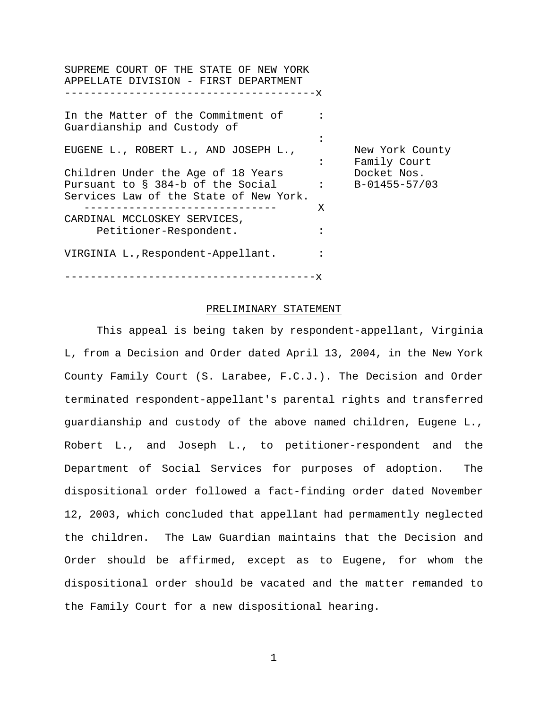SUPREME COURT OF THE STATE OF NEW YORK APPELLATE DIVISION - FIRST DEPARTMENT ---------------------------------------x In the Matter of the Commitment of : Guardianship and Custody of : EUGENE L., ROBERT L., AND JOSEPH L., New York County : Family Court Children Under the Age of 18 Years Docket Nos. Pursuant to § 384-b of the Social : B-01455-57/03 Services Law of the State of New York. ------------------------------ X CARDINAL MCCLOSKEY SERVICES, Petitioner-Respondent. : VIRGINIA L.,Respondent-Appellant. : ---------------------------------------x

#### PRELIMINARY STATEMENT

This appeal is being taken by respondent-appellant, Virginia L, from a Decision and Order dated April 13, 2004, in the New York County Family Court (S. Larabee, F.C.J.). The Decision and Order terminated respondent-appellant's parental rights and transferred guardianship and custody of the above named children, Eugene L., Robert L., and Joseph L., to petitioner-respondent and the Department of Social Services for purposes of adoption. The dispositional order followed a fact-finding order dated November 12, 2003, which concluded that appellant had permamently neglected the children. The Law Guardian maintains that the Decision and Order should be affirmed, except as to Eugene, for whom the dispositional order should be vacated and the matter remanded to the Family Court for a new dispositional hearing.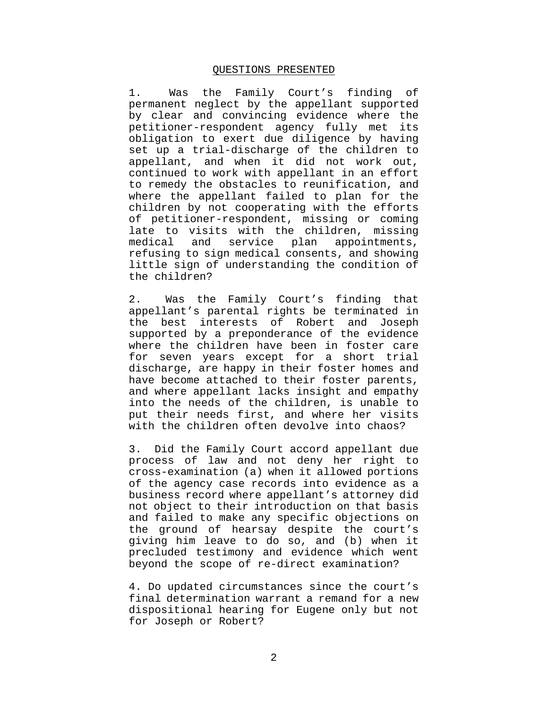#### QUESTIONS PRESENTED

1. Was the Family Court's finding of permanent neglect by the appellant supported by clear and convincing evidence where the petitioner-respondent agency fully met its obligation to exert due diligence by having set up a trial-discharge of the children to appellant, and when it did not work out, continued to work with appellant in an effort to remedy the obstacles to reunification, and where the appellant failed to plan for the children by not cooperating with the efforts of petitioner-respondent, missing or coming late to visits with the children, missing medical and service plan appointments, refusing to sign medical consents, and showing little sign of understanding the condition of the children?

2. Was the Family Court's finding that appellant's parental rights be terminated in the best interests of Robert and Joseph supported by a preponderance of the evidence where the children have been in foster care for seven years except for a short trial discharge, are happy in their foster homes and have become attached to their foster parents, and where appellant lacks insight and empathy into the needs of the children, is unable to put their needs first, and where her visits with the children often devolve into chaos?

3. Did the Family Court accord appellant due process of law and not deny her right to cross-examination (a) when it allowed portions of the agency case records into evidence as a business record where appellant's attorney did not object to their introduction on that basis and failed to make any specific objections on the ground of hearsay despite the court's giving him leave to do so, and (b) when it precluded testimony and evidence which went beyond the scope of re-direct examination?

4. Do updated circumstances since the court's final determination warrant a remand for a new dispositional hearing for Eugene only but not for Joseph or Robert?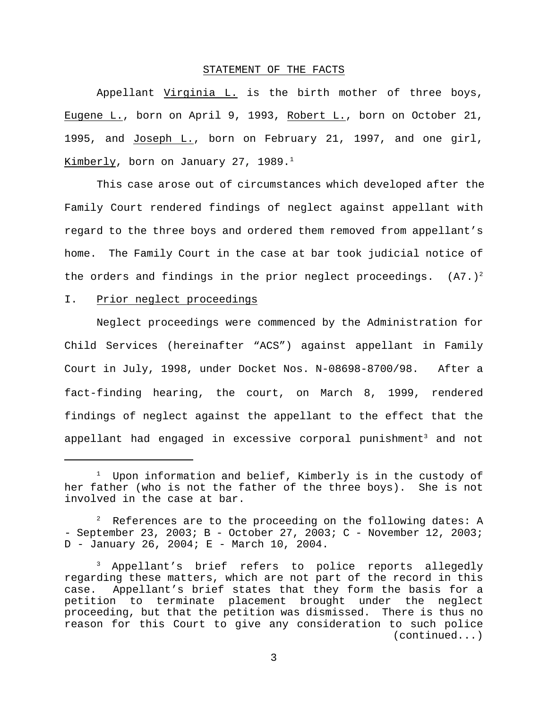#### STATEMENT OF THE FACTS

Appellant Virginia L. is the birth mother of three boys, Eugene L., born on April 9, 1993, Robert L., born on October 21, 1995, and Joseph L., born on February 21, 1997, and one girl, Kimberly, born on January 27, 1989.<sup>1</sup>

This case arose out of circumstances which developed after the Family Court rendered findings of neglect against appellant with regard to the three boys and ordered them removed from appellant's home. The Family Court in the case at bar took judicial notice of the orders and findings in the prior neglect proceedings.  $(A7.)^2$ 

#### I. Prior neglect proceedings

Neglect proceedings were commenced by the Administration for Child Services (hereinafter "ACS") against appellant in Family Court in July, 1998, under Docket Nos. N-08698-8700/98.After a fact-finding hearing, the court, on March 8, 1999, rendered findings of neglect against the appellant to the effect that the appellant had engaged in excessive corporal punishment<sup>3</sup> and not

 $1$  Upon information and belief, Kimberly is in the custody of her father (who is not the father of the three boys). She is not involved in the case at bar.

 $2^2$  References are to the proceeding on the following dates: A - September 23, 2003; B - October 27, 2003; C - November 12, 2003; D - January 26, 2004; E - March 10, 2004.

Appellant's brief refers to police reports allegedly regarding these matters, which are not part of the record in this case. Appellant's brief states that they form the basis for a petition to terminate placement brought under the neglect proceeding, but that the petition was dismissed. There is thus no reason for this Court to give any consideration to such police (continued...)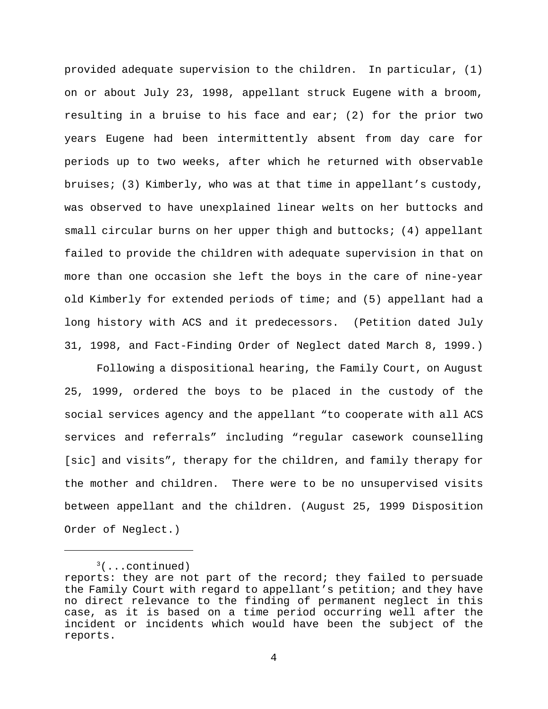provided adequate supervision to the children. In particular, (1) on or about July 23, 1998, appellant struck Eugene with a broom, resulting in a bruise to his face and ear; (2) for the prior two years Eugene had been intermittently absent from day care for periods up to two weeks, after which he returned with observable bruises; (3) Kimberly, who was at that time in appellant's custody, was observed to have unexplained linear welts on her buttocks and small circular burns on her upper thigh and buttocks; (4) appellant failed to provide the children with adequate supervision in that on more than one occasion she left the boys in the care of nine-year old Kimberly for extended periods of time; and (5) appellant had a long history with ACS and it predecessors. (Petition dated July 31, 1998, and Fact-Finding Order of Neglect dated March 8, 1999.)

Following a dispositional hearing, the Family Court, on August 25, 1999, ordered the boys to be placed in the custody of the social services agency and the appellant "to cooperate with all ACS services and referrals" including "regular casework counselling [sic] and visits", therapy for the children, and family therapy for the mother and children. There were to be no unsupervised visits between appellant and the children. (August 25, 1999 Disposition Order of Neglect.)

 $3($ ...continued)

reports: they are not part of the record; they failed to persuade the Family Court with regard to appellant's petition; and they have no direct relevance to the finding of permanent neglect in this case, as it is based on a time period occurring well after the incident or incidents which would have been the subject of the reports.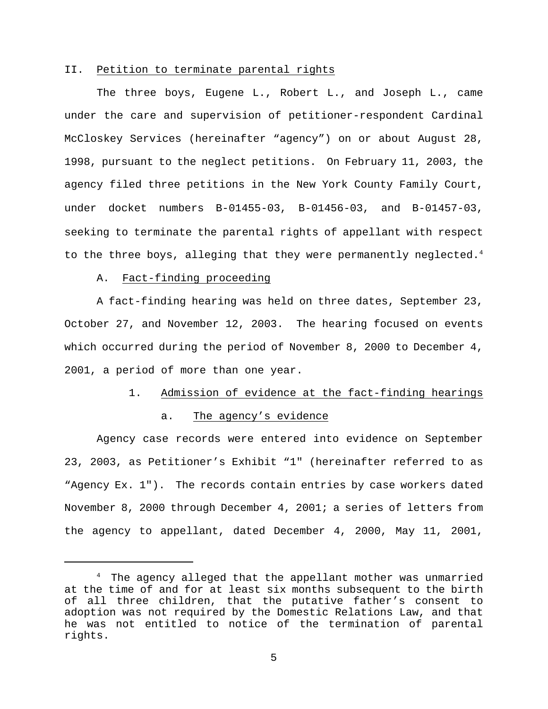#### II. Petition to terminate parental rights

The three boys, Eugene L., Robert L., and Joseph L., came under the care and supervision of petitioner-respondent Cardinal McCloskey Services (hereinafter "agency") on or about August 28, 1998, pursuant to the neglect petitions. On February 11, 2003, the agency filed three petitions in the New York County Family Court, under docket numbers B-01455-03, B-01456-03, and B-01457-03, seeking to terminate the parental rights of appellant with respect to the three boys, alleging that they were permanently neglected.<sup>4</sup>

#### A. Fact-finding proceeding

A fact-finding hearing was held on three dates, September 23, October 27, and November 12, 2003. The hearing focused on events which occurred during the period of November 8, 2000 to December 4, 2001, a period of more than one year.

#### 1. Admission of evidence at the fact-finding hearings

#### a. The agency's evidence

Agency case records were entered into evidence on September 23, 2003, as Petitioner's Exhibit "1" (hereinafter referred to as "Agency Ex. 1"). The records contain entries by case workers dated November 8, 2000 through December 4, 2001; a series of letters from the agency to appellant, dated December 4, 2000, May 11, 2001,

 $4$  The agency alleged that the appellant mother was unmarried at the time of and for at least six months subsequent to the birth of all three children, that the putative father's consent to adoption was not required by the Domestic Relations Law, and that he was not entitled to notice of the termination of parental rights.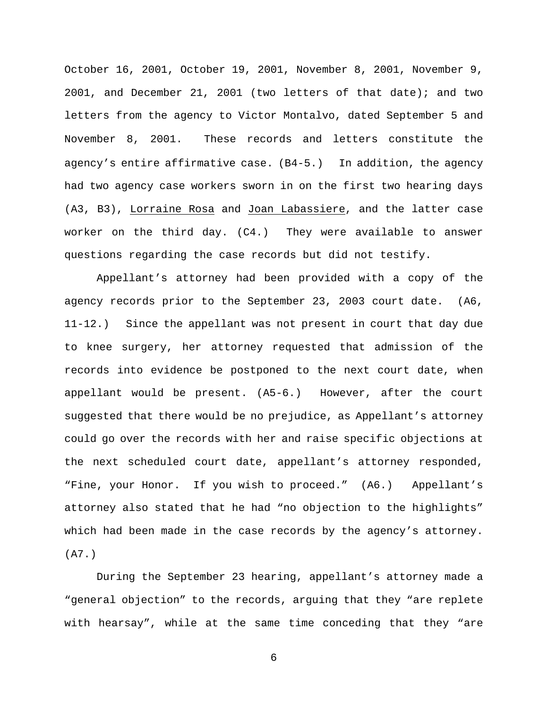October 16, 2001, October 19, 2001, November 8, 2001, November 9, 2001, and December 21, 2001 (two letters of that date); and two letters from the agency to Victor Montalvo, dated September 5 and November 8, 2001. These records and letters constitute the agency's entire affirmative case. (B4-5.) In addition, the agency had two agency case workers sworn in on the first two hearing days (A3, B3), Lorraine Rosa and Joan Labassiere, and the latter case worker on the third day. (C4.) They were available to answer questions regarding the case records but did not testify.

Appellant's attorney had been provided with a copy of the agency records prior to the September 23, 2003 court date. (A6, 11-12.) Since the appellant was not present in court that day due to knee surgery, her attorney requested that admission of the records into evidence be postponed to the next court date, when appellant would be present. (A5-6.) However, after the court suggested that there would be no prejudice, as Appellant's attorney could go over the records with her and raise specific objections at the next scheduled court date, appellant's attorney responded, "Fine, your Honor. If you wish to proceed." (A6.) Appellant's attorney also stated that he had "no objection to the highlights" which had been made in the case records by the agency's attorney. (A7.)

During the September 23 hearing, appellant's attorney made a "general objection" to the records, arguing that they "are replete with hearsay", while at the same time conceding that they "are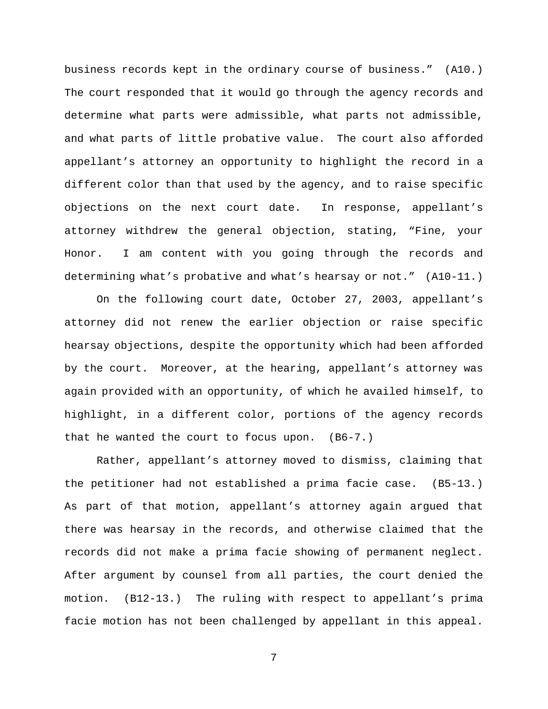business records kept in the ordinary course of business." (A10.) The court responded that it would go through the agency records and determine what parts were admissible, what parts not admissible, and what parts of little probative value. The court also afforded appellant's attorney an opportunity to highlight the record in a different color than that used by the agency, and to raise specific objections on the next court date. In response, appellant's attorney withdrew the general objection, stating, "Fine, your Honor. I am content with you going through the records and determining what's probative and what's hearsay or not." (A10-11.)

On the following court date, October 27, 2003, appellant's attorney did not renew the earlier objection or raise specific hearsay objections, despite the opportunity which had been afforded by the court. Moreover, at the hearing, appellant's attorney was again provided with an opportunity, of which he availed himself, to highlight, in a different color, portions of the agency records that he wanted the court to focus upon. (B6-7.)

Rather, appellant's attorney moved to dismiss, claiming that the petitioner had not established a prima facie case. (B5-13.) As part of that motion, appellant's attorney again argued that there was hearsay in the records, and otherwise claimed that the records did not make a prima facie showing of permanent neglect. After argument by counsel from all parties, the court denied the motion. (B12-13.) The ruling with respect to appellant's prima facie motion has not been challenged by appellant in this appeal.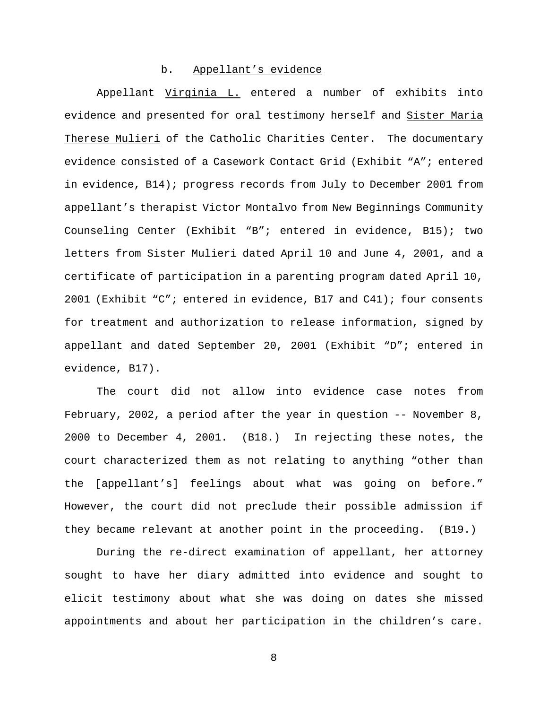#### b. Appellant's evidence

Appellant Virginia L. entered a number of exhibits into evidence and presented for oral testimony herself and Sister Maria Therese Mulieri of the Catholic Charities Center. The documentary evidence consisted of a Casework Contact Grid (Exhibit "A"; entered in evidence, B14); progress records from July to December 2001 from appellant's therapist Victor Montalvo from New Beginnings Community Counseling Center (Exhibit "B"; entered in evidence, B15); two letters from Sister Mulieri dated April 10 and June 4, 2001, and a certificate of participation in a parenting program dated April 10, 2001 (Exhibit "C"; entered in evidence, B17 and C41); four consents for treatment and authorization to release information, signed by appellant and dated September 20, 2001 (Exhibit "D"; entered in evidence, B17).

The court did not allow into evidence case notes from February, 2002, a period after the year in question  $-$ - November 8, 2000 to December 4, 2001. (B18.) In rejecting these notes, the court characterized them as not relating to anything "other than the [appellant's] feelings about what was going on before." However, the court did not preclude their possible admission if they became relevant at another point in the proceeding. (B19.)

During the re-direct examination of appellant, her attorney sought to have her diary admitted into evidence and sought to elicit testimony about what she was doing on dates she missed appointments and about her participation in the children's care.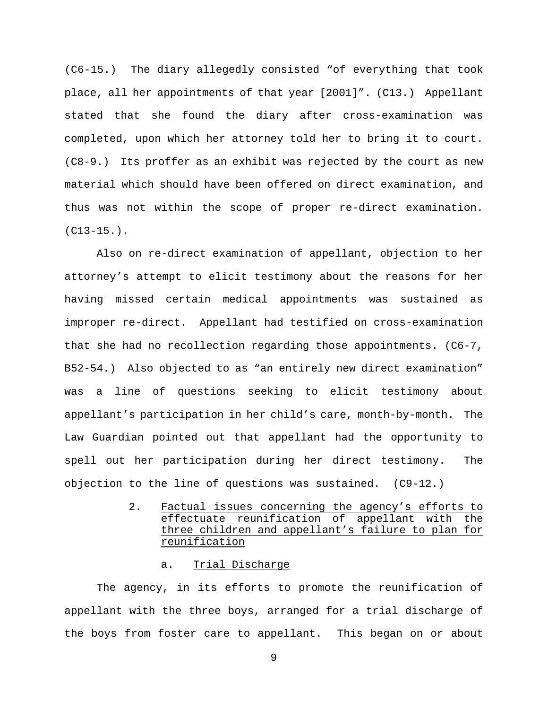(C6-15.) The diary allegedly consisted "of everything that took place, all her appointments of that year [2001]". (C13.) Appellant stated that she found the diary after cross-examination was completed, upon which her attorney told her to bring it to court. (C8-9.) Its proffer as an exhibit was rejected by the court as new material which should have been offered on direct examination, and thus was not within the scope of proper re-direct examination.  $(C13-15.$ .

Also on re-direct examination of appellant, objection to her attorney's attempt to elicit testimony about the reasons for her having missed certain medical appointments was sustained as improper re-direct. Appellant had testified on cross-examination that she had no recollection regarding those appointments. (C6-7, B52-54.) Also objected to as "an entirely new direct examination" was a line of questions seeking to elicit testimony about appellant's participation in her child's care, month-by-month. The Law Guardian pointed out that appellant had the opportunity to spell out her participation during her direct testimony. The objection to the line of questions was sustained. (C9-12.)

> 2. Factual issues concerning the agency's efforts to effectuate reunification of appellant with the three children and appellant's failure to plan for reunification

#### a. Trial Discharge

The agency, in its efforts to promote the reunification of appellant with the three boys, arranged for a trial discharge of the boys from foster care to appellant. This began on or about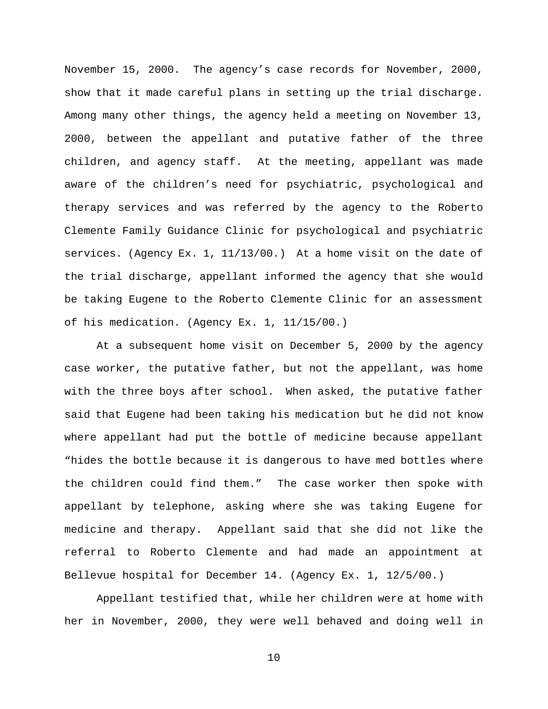November 15, 2000. The agency's case records for November, 2000, show that it made careful plans in setting up the trial discharge. Among many other things, the agency held a meeting on November 13, 2000, between the appellant and putative father of the three children, and agency staff. At the meeting, appellant was made aware of the children's need for psychiatric, psychological and therapy services and was referred by the agency to the Roberto Clemente Family Guidance Clinic for psychological and psychiatric services. (Agency Ex. 1, 11/13/00.) At a home visit on the date of the trial discharge, appellant informed the agency that she would be taking Eugene to the Roberto Clemente Clinic for an assessment of his medication. (Agency Ex. 1, 11/15/00.)

At a subsequent home visit on December 5, 2000 by the agency case worker, the putative father, but not the appellant, was home with the three boys after school. When asked, the putative father said that Eugene had been taking his medication but he did not know where appellant had put the bottle of medicine because appellant "hides the bottle because it is dangerous to have med bottles where the children could find them." The case worker then spoke with appellant by telephone, asking where she was taking Eugene for medicine and therapy. Appellant said that she did not like the referral to Roberto Clemente and had made an appointment at Bellevue hospital for December 14. (Agency Ex. 1, 12/5/00.)

Appellant testified that, while her children were at home with her in November, 2000, they were well behaved and doing well in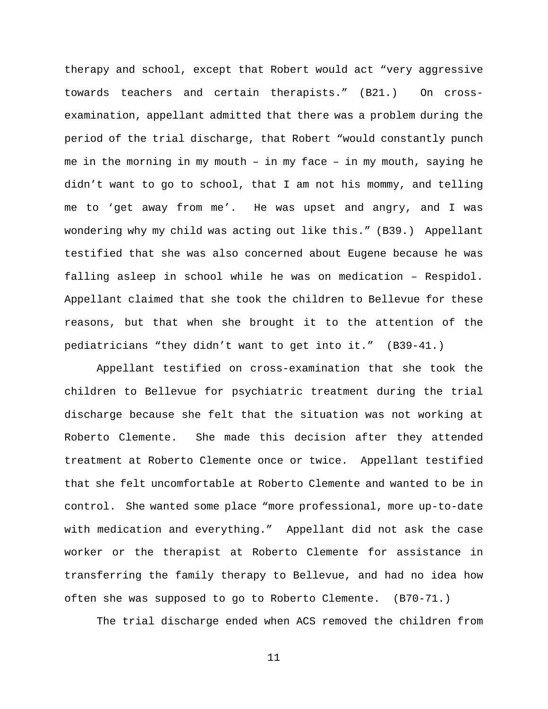therapy and school, except that Robert would act "very aggressive towards teachers and certain therapists." (B21.) On crossexamination, appellant admitted that there was a problem during the period of the trial discharge, that Robert "would constantly punch me in the morning in my mouth – in my face – in my mouth, saying he didn't want to go to school, that I am not his mommy, and telling me to 'get away from me'. He was upset and angry, and I was wondering why my child was acting out like this." (B39.) Appellant testified that she was also concerned about Eugene because he was falling asleep in school while he was on medication – Respidol. Appellant claimed that she took the children to Bellevue for these reasons, but that when she brought it to the attention of the pediatricians "they didn't want to get into it." (B39-41.)

Appellant testified on cross-examination that she took the children to Bellevue for psychiatric treatment during the trial discharge because she felt that the situation was not working at Roberto Clemente. She made this decision after they attended treatment at Roberto Clemente once or twice. Appellant testified that she felt uncomfortable at Roberto Clemente and wanted to be in control. She wanted some place "more professional, more up-to-date with medication and everything." Appellant did not ask the case worker or the therapist at Roberto Clemente for assistance in transferring the family therapy to Bellevue, and had no idea how often she was supposed to go to Roberto Clemente. (B70-71.)

The trial discharge ended when ACS removed the children from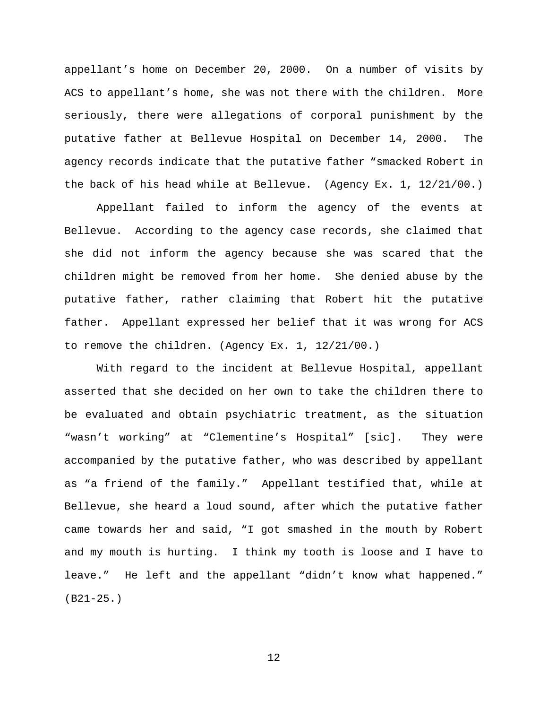appellant's home on December 20, 2000. On a number of visits by ACS to appellant's home, she was not there with the children. More seriously, there were allegations of corporal punishment by the putative father at Bellevue Hospital on December 14, 2000. The agency records indicate that the putative father "smacked Robert in the back of his head while at Bellevue. (Agency Ex. 1, 12/21/00.)

Appellant failed to inform the agency of the events at Bellevue. According to the agency case records, she claimed that she did not inform the agency because she was scared that the children might be removed from her home. She denied abuse by the putative father, rather claiming that Robert hit the putative father. Appellant expressed her belief that it was wrong for ACS to remove the children. (Agency Ex. 1, 12/21/00.)

With regard to the incident at Bellevue Hospital, appellant asserted that she decided on her own to take the children there to be evaluated and obtain psychiatric treatment, as the situation "wasn't working" at "Clementine's Hospital" [sic]. They were accompanied by the putative father, who was described by appellant as "a friend of the family." Appellant testified that, while at Bellevue, she heard a loud sound, after which the putative father came towards her and said, "I got smashed in the mouth by Robert and my mouth is hurting. I think my tooth is loose and I have to leave." He left and the appellant "didn't know what happened." (B21-25.)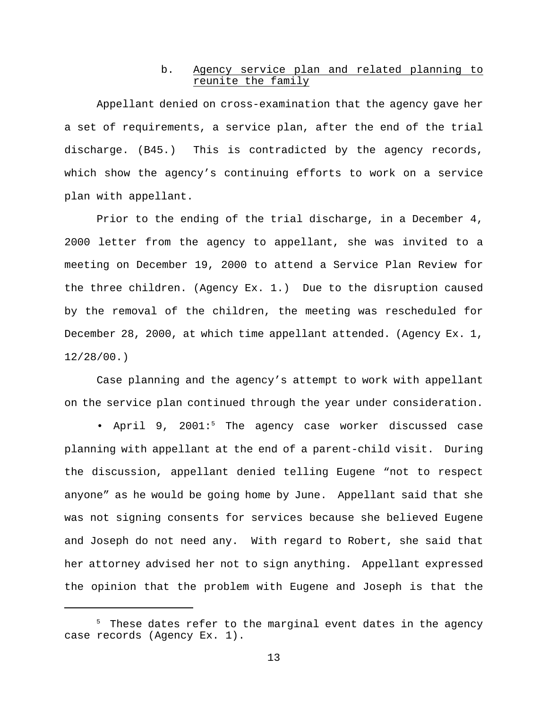### b. Agency service plan and related planning to reunite the family

Appellant denied on cross-examination that the agency gave her a set of requirements, a service plan, after the end of the trial discharge. (B45.) This is contradicted by the agency records, which show the agency's continuing efforts to work on a service plan with appellant.

Prior to the ending of the trial discharge, in a December 4, 2000 letter from the agency to appellant, she was invited to a meeting on December 19, 2000 to attend a Service Plan Review for the three children. (Agency Ex. 1.) Due to the disruption caused by the removal of the children, the meeting was rescheduled for December 28, 2000, at which time appellant attended. (Agency Ex. 1, 12/28/00.)

Case planning and the agency's attempt to work with appellant on the service plan continued through the year under consideration.

• April 9, 2001:<sup>5</sup> The agency case worker discussed case planning with appellant at the end of a parent-child visit. During the discussion, appellant denied telling Eugene "not to respect anyone" as he would be going home by June. Appellant said that she was not signing consents for services because she believed Eugene and Joseph do not need any. With regard to Robert, she said that her attorney advised her not to sign anything. Appellant expressed the opinion that the problem with Eugene and Joseph is that the

 $5$  These dates refer to the marginal event dates in the agency case records (Agency Ex. 1).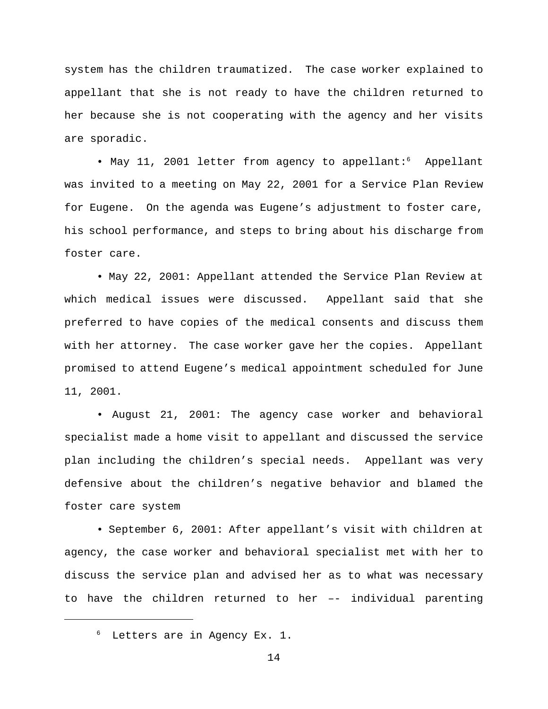system has the children traumatized. The case worker explained to appellant that she is not ready to have the children returned to her because she is not cooperating with the agency and her visits are sporadic.

• May 11, 2001 letter from agency to appellant:<sup>6</sup> Appellant was invited to a meeting on May 22, 2001 for a Service Plan Review for Eugene. On the agenda was Eugene's adjustment to foster care, his school performance, and steps to bring about his discharge from foster care.

• May 22, 2001: Appellant attended the Service Plan Review at which medical issues were discussed. Appellant said that she preferred to have copies of the medical consents and discuss them with her attorney. The case worker gave her the copies. Appellant promised to attend Eugene's medical appointment scheduled for June 11, 2001.

• August 21, 2001: The agency case worker and behavioral specialist made a home visit to appellant and discussed the service plan including the children's special needs. Appellant was very defensive about the children's negative behavior and blamed the foster care system

• September 6, 2001: After appellant's visit with children at agency, the case worker and behavioral specialist met with her to discuss the service plan and advised her as to what was necessary to have the children returned to her –- individual parenting

 $6$  Letters are in Agency Ex. 1.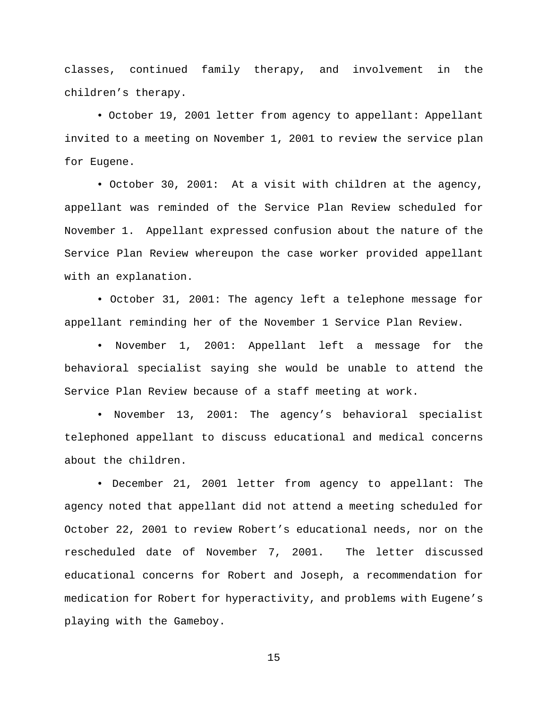classes, continued family therapy, and involvement in the children's therapy.

• October 19, 2001 letter from agency to appellant: Appellant invited to a meeting on November 1, 2001 to review the service plan for Eugene.

• October 30, 2001: At a visit with children at the agency, appellant was reminded of the Service Plan Review scheduled for November 1. Appellant expressed confusion about the nature of the Service Plan Review whereupon the case worker provided appellant with an explanation.

• October 31, 2001: The agency left a telephone message for appellant reminding her of the November 1 Service Plan Review.

• November 1, 2001: Appellant left a message for the behavioral specialist saying she would be unable to attend the Service Plan Review because of a staff meeting at work.

• November 13, 2001: The agency's behavioral specialist telephoned appellant to discuss educational and medical concerns about the children.

• December 21, 2001 letter from agency to appellant: The agency noted that appellant did not attend a meeting scheduled for October 22, 2001 to review Robert's educational needs, nor on the rescheduled date of November 7, 2001. The letter discussed educational concerns for Robert and Joseph, a recommendation for medication for Robert for hyperactivity, and problems with Eugene's playing with the Gameboy.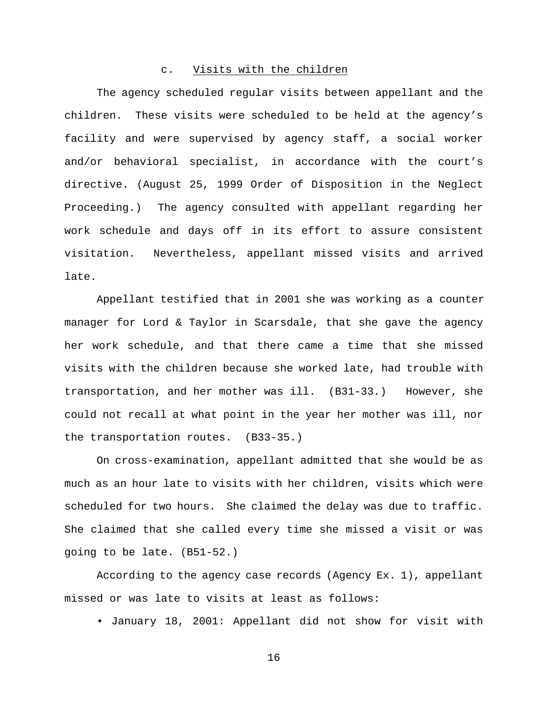#### c. Visits with the children

The agency scheduled regular visits between appellant and the children. These visits were scheduled to be held at the agency's facility and were supervised by agency staff, a social worker and/or behavioral specialist, in accordance with the court's directive. (August 25, 1999 Order of Disposition in the Neglect Proceeding.) The agency consulted with appellant regarding her work schedule and days off in its effort to assure consistent visitation. Nevertheless, appellant missed visits and arrived late.

 Appellant testified that in 2001 she was working as a counter manager for Lord & Taylor in Scarsdale, that she gave the agency her work schedule, and that there came a time that she missed visits with the children because she worked late, had trouble with transportation, and her mother was ill. (B31-33.) However, she could not recall at what point in the year her mother was ill, nor the transportation routes. (B33-35.)

On cross-examination, appellant admitted that she would be as much as an hour late to visits with her children, visits which were scheduled for two hours. She claimed the delay was due to traffic. She claimed that she called every time she missed a visit or was going to be late. (B51-52.)

According to the agency case records (Agency Ex. 1), appellant missed or was late to visits at least as follows:

• January 18, 2001: Appellant did not show for visit with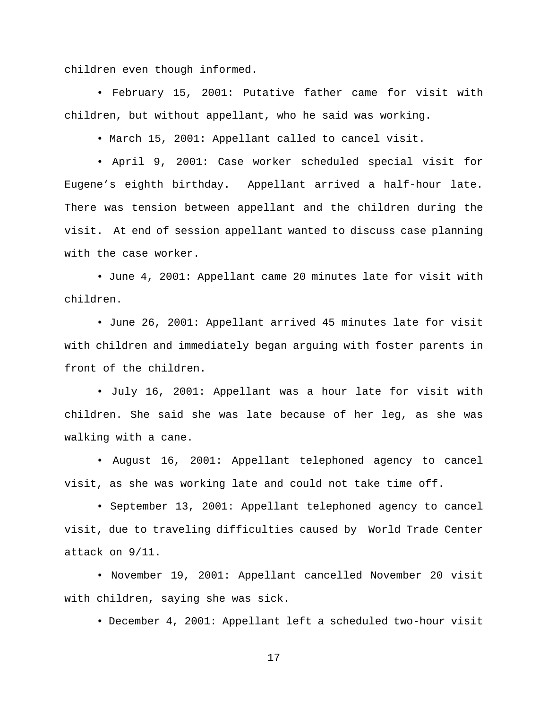children even though informed.

• February 15, 2001: Putative father came for visit with children, but without appellant, who he said was working.

• March 15, 2001: Appellant called to cancel visit.

• April 9, 2001: Case worker scheduled special visit for Eugene's eighth birthday. Appellant arrived a half-hour late. There was tension between appellant and the children during the visit. At end of session appellant wanted to discuss case planning with the case worker.

• June 4, 2001: Appellant came 20 minutes late for visit with children.

• June 26, 2001: Appellant arrived 45 minutes late for visit with children and immediately began arguing with foster parents in front of the children.

• July 16, 2001: Appellant was a hour late for visit with children. She said she was late because of her leg, as she was walking with a cane.

• August 16, 2001: Appellant telephoned agency to cancel visit, as she was working late and could not take time off.

• September 13, 2001: Appellant telephoned agency to cancel visit, due to traveling difficulties caused by World Trade Center attack on 9/11.

• November 19, 2001: Appellant cancelled November 20 visit with children, saying she was sick.

• December 4, 2001: Appellant left a scheduled two-hour visit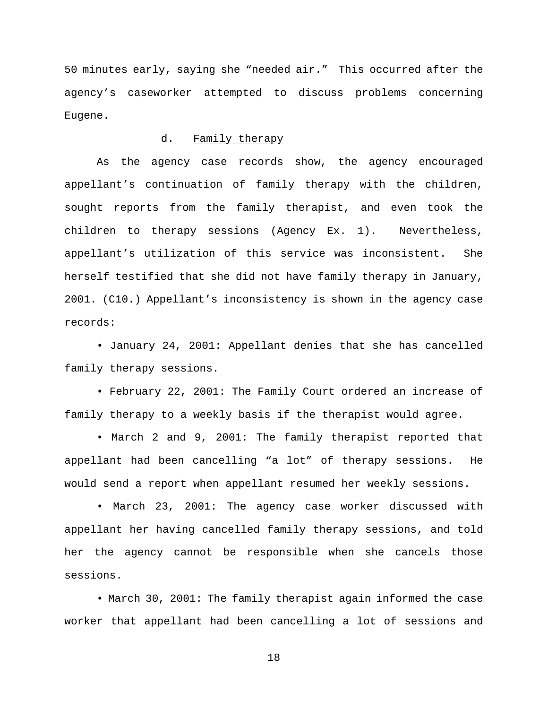50 minutes early, saying she "needed air." This occurred after the agency's caseworker attempted to discuss problems concerning Eugene.

### d. Family therapy

As the agency case records show, the agency encouraged appellant's continuation of family therapy with the children, sought reports from the family therapist, and even took the children to therapy sessions (Agency Ex. 1). Nevertheless, appellant's utilization of this service was inconsistent. She herself testified that she did not have family therapy in January, 2001. (C10.) Appellant's inconsistency is shown in the agency case records:

• January 24, 2001: Appellant denies that she has cancelled family therapy sessions.

• February 22, 2001: The Family Court ordered an increase of family therapy to a weekly basis if the therapist would agree.

• March 2 and 9, 2001: The family therapist reported that appellant had been cancelling "a lot" of therapy sessions. He would send a report when appellant resumed her weekly sessions.

• March 23, 2001: The agency case worker discussed with appellant her having cancelled family therapy sessions, and told her the agency cannot be responsible when she cancels those sessions.

• March 30, 2001: The family therapist again informed the case worker that appellant had been cancelling a lot of sessions and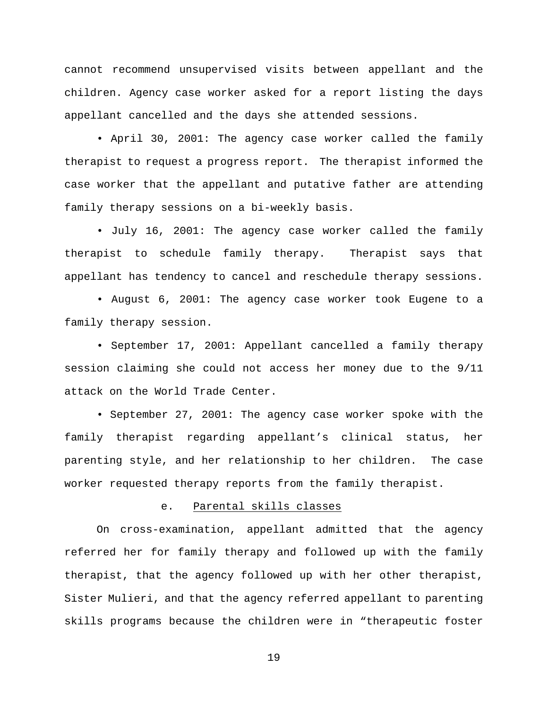cannot recommend unsupervised visits between appellant and the children. Agency case worker asked for a report listing the days appellant cancelled and the days she attended sessions.

• April 30, 2001: The agency case worker called the family therapist to request a progress report. The therapist informed the case worker that the appellant and putative father are attending family therapy sessions on a bi-weekly basis.

• July 16, 2001: The agency case worker called the family therapist to schedule family therapy. Therapist says that appellant has tendency to cancel and reschedule therapy sessions.

• August 6, 2001: The agency case worker took Eugene to a family therapy session.

• September 17, 2001: Appellant cancelled a family therapy session claiming she could not access her money due to the 9/11 attack on the World Trade Center.

• September 27, 2001: The agency case worker spoke with the family therapist regarding appellant's clinical status, her parenting style, and her relationship to her children. The case worker requested therapy reports from the family therapist.

#### e. Parental skills classes

On cross-examination, appellant admitted that the agency referred her for family therapy and followed up with the family therapist, that the agency followed up with her other therapist, Sister Mulieri, and that the agency referred appellant to parenting skills programs because the children were in "therapeutic foster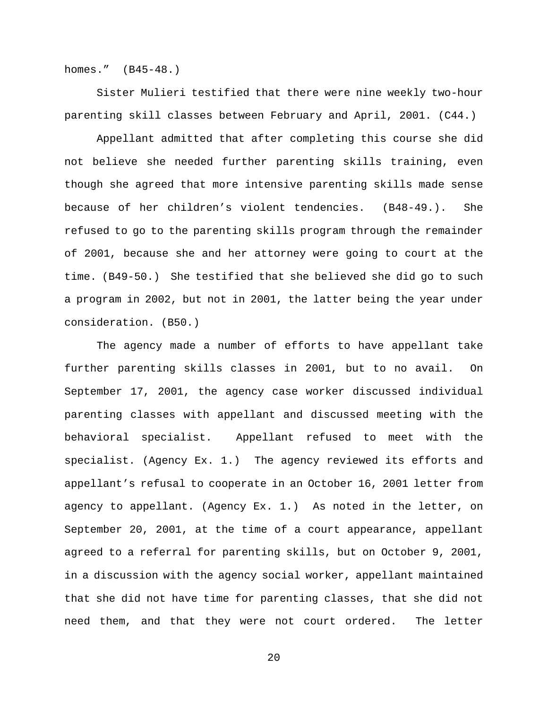homes." (B45-48.)

Sister Mulieri testified that there were nine weekly two-hour parenting skill classes between February and April, 2001. (C44.)

Appellant admitted that after completing this course she did not believe she needed further parenting skills training, even though she agreed that more intensive parenting skills made sense because of her children's violent tendencies. (B48-49.). She refused to go to the parenting skills program through the remainder of 2001, because she and her attorney were going to court at the time. (B49-50.) She testified that she believed she did go to such a program in 2002, but not in 2001, the latter being the year under consideration. (B50.)

The agency made a number of efforts to have appellant take further parenting skills classes in 2001, but to no avail. On September 17, 2001, the agency case worker discussed individual parenting classes with appellant and discussed meeting with the behavioral specialist. Appellant refused to meet with the specialist. (Agency Ex. 1.) The agency reviewed its efforts and appellant's refusal to cooperate in an October 16, 2001 letter from agency to appellant. (Agency Ex. 1.) As noted in the letter, on September 20, 2001, at the time of a court appearance, appellant agreed to a referral for parenting skills, but on October 9, 2001, in a discussion with the agency social worker, appellant maintained that she did not have time for parenting classes, that she did not need them, and that they were not court ordered. The letter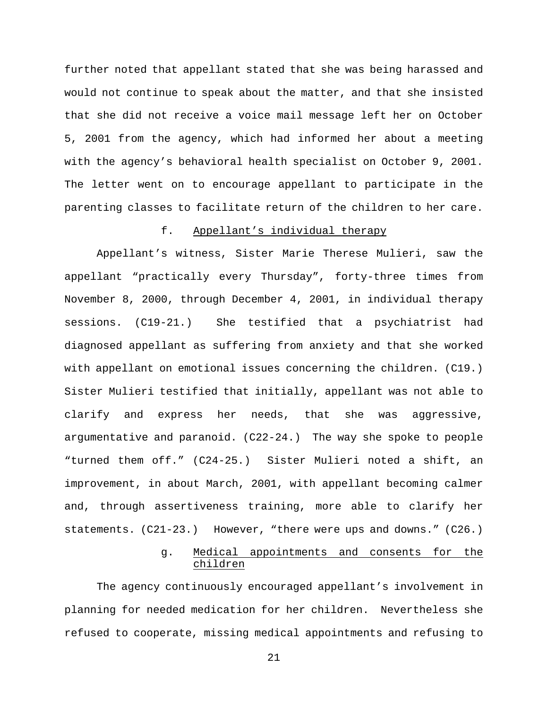further noted that appellant stated that she was being harassed and would not continue to speak about the matter, and that she insisted that she did not receive a voice mail message left her on October 5, 2001 from the agency, which had informed her about a meeting with the agency's behavioral health specialist on October 9, 2001. The letter went on to encourage appellant to participate in the parenting classes to facilitate return of the children to her care.

#### f. Appellant's individual therapy

Appellant's witness, Sister Marie Therese Mulieri, saw the appellant "practically every Thursday", forty-three times from November 8, 2000, through December 4, 2001, in individual therapy sessions. (C19-21.) She testified that a psychiatrist had diagnosed appellant as suffering from anxiety and that she worked with appellant on emotional issues concerning the children. (C19.) Sister Mulieri testified that initially, appellant was not able to clarify and express her needs, that she was aggressive, argumentative and paranoid. (C22-24.) The way she spoke to people "turned them off." (C24-25.) Sister Mulieri noted a shift, an improvement, in about March, 2001, with appellant becoming calmer and, through assertiveness training, more able to clarify her statements. (C21-23.) However, "there were ups and downs." (C26.)

## g. Medical appointments and consents for the children

The agency continuously encouraged appellant's involvement in planning for needed medication for her children. Nevertheless she refused to cooperate, missing medical appointments and refusing to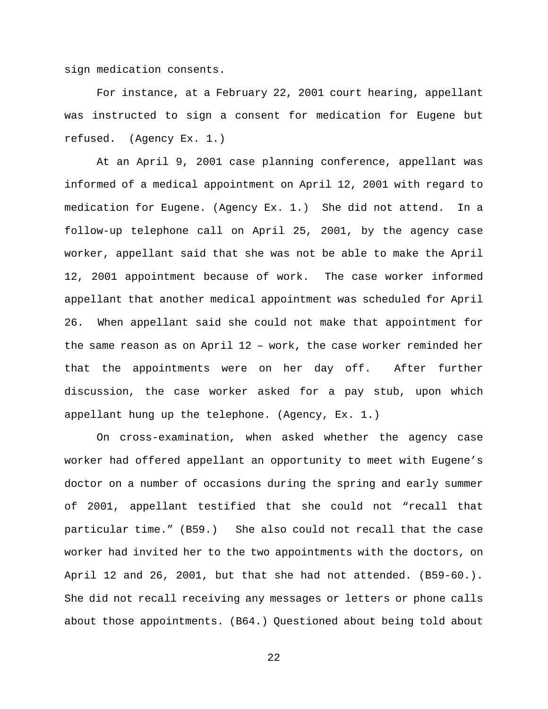sign medication consents.

For instance, at a February 22, 2001 court hearing, appellant was instructed to sign a consent for medication for Eugene but refused. (Agency Ex. 1.)

At an April 9, 2001 case planning conference, appellant was informed of a medical appointment on April 12, 2001 with regard to medication for Eugene. (Agency Ex. 1.) She did not attend. In a follow-up telephone call on April 25, 2001, by the agency case worker, appellant said that she was not be able to make the April 12, 2001 appointment because of work. The case worker informed appellant that another medical appointment was scheduled for April 26. When appellant said she could not make that appointment for the same reason as on April 12 – work, the case worker reminded her that the appointments were on her day off. After further discussion, the case worker asked for a pay stub, upon which appellant hung up the telephone. (Agency, Ex. 1.)

On cross-examination, when asked whether the agency case worker had offered appellant an opportunity to meet with Eugene's doctor on a number of occasions during the spring and early summer of 2001, appellant testified that she could not "recall that particular time." (B59.) She also could not recall that the case worker had invited her to the two appointments with the doctors, on April 12 and 26, 2001, but that she had not attended. (B59-60.). She did not recall receiving any messages or letters or phone calls about those appointments. (B64.) Questioned about being told about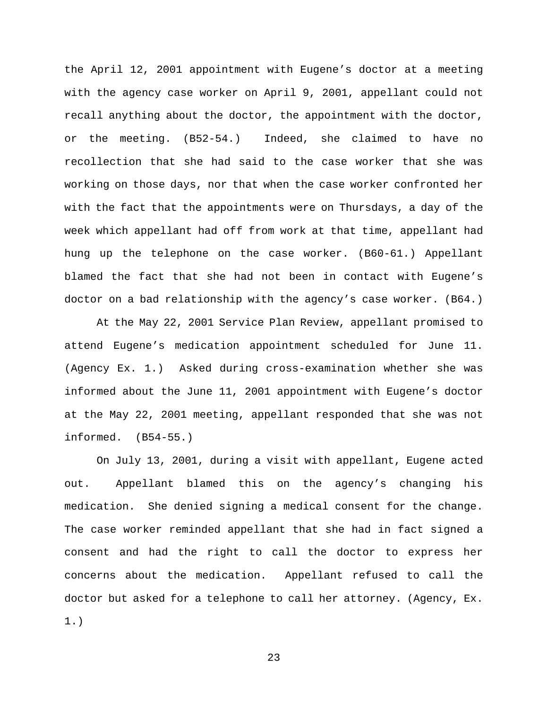the April 12, 2001 appointment with Eugene's doctor at a meeting with the agency case worker on April 9, 2001, appellant could not recall anything about the doctor, the appointment with the doctor, or the meeting. (B52-54.) Indeed, she claimed to have no recollection that she had said to the case worker that she was working on those days, nor that when the case worker confronted her with the fact that the appointments were on Thursdays, a day of the week which appellant had off from work at that time, appellant had hung up the telephone on the case worker. (B60-61.) Appellant blamed the fact that she had not been in contact with Eugene's doctor on a bad relationship with the agency's case worker. (B64.)

At the May 22, 2001 Service Plan Review, appellant promised to attend Eugene's medication appointment scheduled for June 11. (Agency Ex. 1.) Asked during cross-examination whether she was informed about the June 11, 2001 appointment with Eugene's doctor at the May 22, 2001 meeting, appellant responded that she was not informed. (B54-55.)

On July 13, 2001, during a visit with appellant, Eugene acted out. Appellant blamed this on the agency's changing his medication. She denied signing a medical consent for the change. The case worker reminded appellant that she had in fact signed a consent and had the right to call the doctor to express her concerns about the medication. Appellant refused to call the doctor but asked for a telephone to call her attorney. (Agency, Ex. 1.)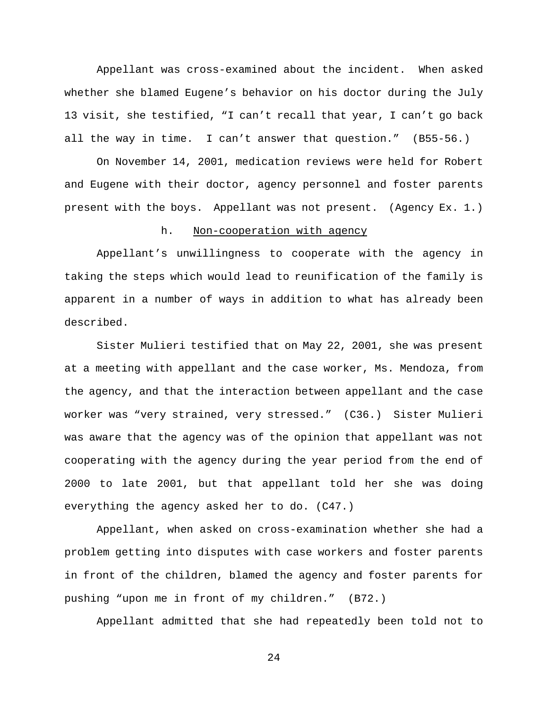Appellant was cross-examined about the incident. When asked whether she blamed Eugene's behavior on his doctor during the July 13 visit, she testified, "I can't recall that year, I can't go back all the way in time. I can't answer that question." (B55-56.)

On November 14, 2001, medication reviews were held for Robert and Eugene with their doctor, agency personnel and foster parents present with the boys. Appellant was not present. (Agency Ex. 1.)

#### h. Non-cooperation with agency

Appellant's unwillingness to cooperate with the agency in taking the steps which would lead to reunification of the family is apparent in a number of ways in addition to what has already been described.

Sister Mulieri testified that on May 22, 2001, she was present at a meeting with appellant and the case worker, Ms. Mendoza, from the agency, and that the interaction between appellant and the case worker was "very strained, very stressed." (C36.) Sister Mulieri was aware that the agency was of the opinion that appellant was not cooperating with the agency during the year period from the end of 2000 to late 2001, but that appellant told her she was doing everything the agency asked her to do. (C47.)

Appellant, when asked on cross-examination whether she had a problem getting into disputes with case workers and foster parents in front of the children, blamed the agency and foster parents for pushing "upon me in front of my children." (B72.)

Appellant admitted that she had repeatedly been told not to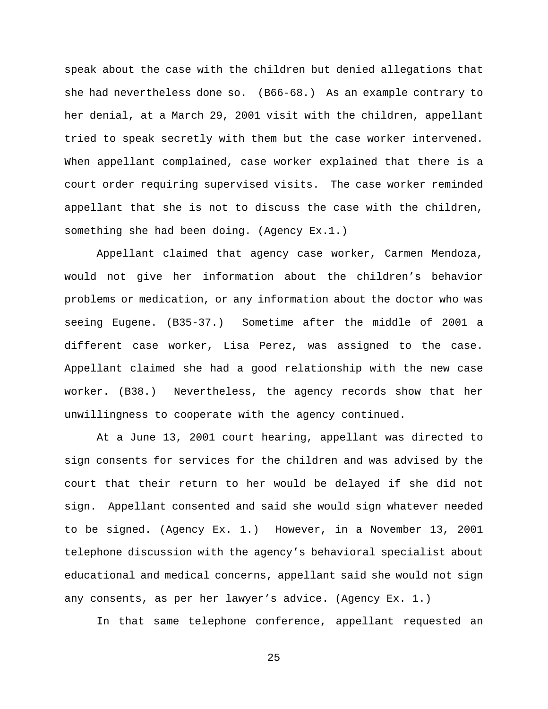speak about the case with the children but denied allegations that she had nevertheless done so. (B66-68.) As an example contrary to her denial, at a March 29, 2001 visit with the children, appellant tried to speak secretly with them but the case worker intervened. When appellant complained, case worker explained that there is a court order requiring supervised visits. The case worker reminded appellant that she is not to discuss the case with the children, something she had been doing. (Agency Ex.1.)

Appellant claimed that agency case worker, Carmen Mendoza, would not give her information about the children's behavior problems or medication, or any information about the doctor who was seeing Eugene. (B35-37.) Sometime after the middle of 2001 a different case worker, Lisa Perez, was assigned to the case. Appellant claimed she had a good relationship with the new case worker. (B38.) Nevertheless, the agency records show that her unwillingness to cooperate with the agency continued.

At a June 13, 2001 court hearing, appellant was directed to sign consents for services for the children and was advised by the court that their return to her would be delayed if she did not sign. Appellant consented and said she would sign whatever needed to be signed. (Agency Ex. 1.) However, in a November 13, 2001 telephone discussion with the agency's behavioral specialist about educational and medical concerns, appellant said she would not sign any consents, as per her lawyer's advice. (Agency Ex. 1.)

In that same telephone conference, appellant requested an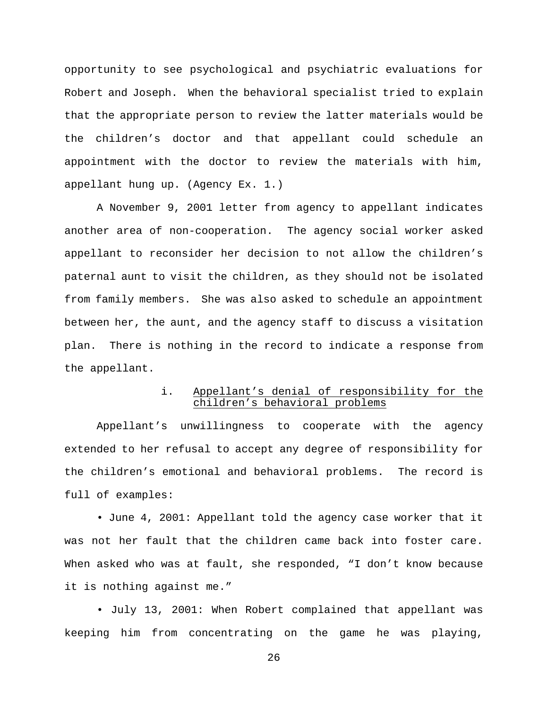opportunity to see psychological and psychiatric evaluations for Robert and Joseph. When the behavioral specialist tried to explain that the appropriate person to review the latter materials would be the children's doctor and that appellant could schedule an appointment with the doctor to review the materials with him, appellant hung up. (Agency Ex. 1.)

A November 9, 2001 letter from agency to appellant indicates another area of non-cooperation. The agency social worker asked appellant to reconsider her decision to not allow the children's paternal aunt to visit the children, as they should not be isolated from family members. She was also asked to schedule an appointment between her, the aunt, and the agency staff to discuss a visitation plan. There is nothing in the record to indicate a response from the appellant.

# i. Appellant's denial of responsibility for the children's behavioral problems

Appellant's unwillingness to cooperate with the agency extended to her refusal to accept any degree of responsibility for the children's emotional and behavioral problems. The record is full of examples:

• June 4, 2001: Appellant told the agency case worker that it was not her fault that the children came back into foster care. When asked who was at fault, she responded, "I don't know because it is nothing against me."

• July 13, 2001: When Robert complained that appellant was keeping him from concentrating on the game he was playing,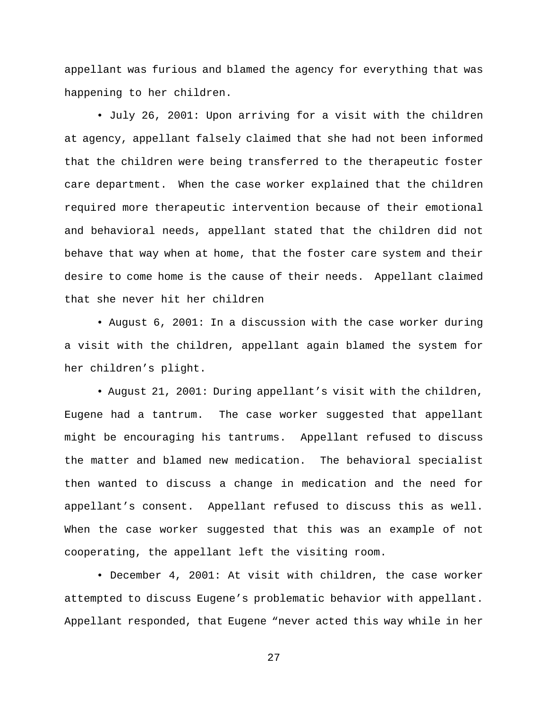appellant was furious and blamed the agency for everything that was happening to her children.

• July 26, 2001: Upon arriving for a visit with the children at agency, appellant falsely claimed that she had not been informed that the children were being transferred to the therapeutic foster care department. When the case worker explained that the children required more therapeutic intervention because of their emotional and behavioral needs, appellant stated that the children did not behave that way when at home, that the foster care system and their desire to come home is the cause of their needs. Appellant claimed that she never hit her children

• August 6, 2001: In a discussion with the case worker during a visit with the children, appellant again blamed the system for her children's plight.

• August 21, 2001: During appellant's visit with the children, Eugene had a tantrum. The case worker suggested that appellant might be encouraging his tantrums. Appellant refused to discuss the matter and blamed new medication. The behavioral specialist then wanted to discuss a change in medication and the need for appellant's consent. Appellant refused to discuss this as well. When the case worker suggested that this was an example of not cooperating, the appellant left the visiting room.

• December 4, 2001: At visit with children, the case worker attempted to discuss Eugene's problematic behavior with appellant. Appellant responded, that Eugene "never acted this way while in her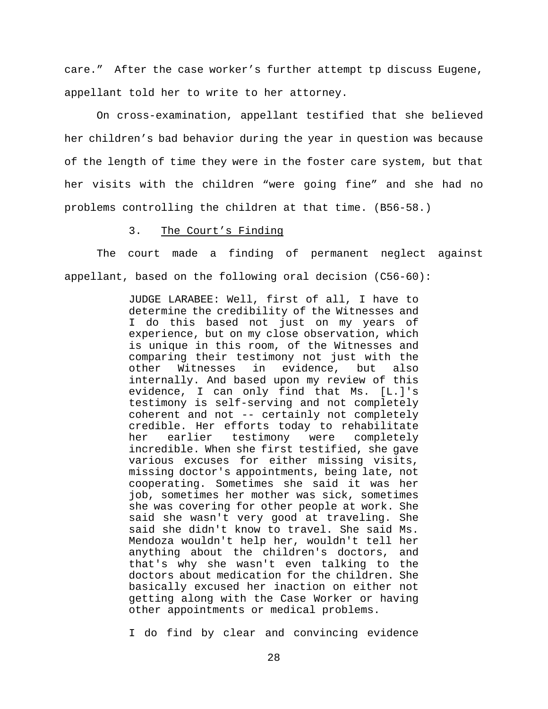care." After the case worker's further attempt tp discuss Eugene, appellant told her to write to her attorney.

On cross-examination, appellant testified that she believed her children's bad behavior during the year in question was because of the length of time they were in the foster care system, but that her visits with the children "were going fine" and she had no problems controlling the children at that time. (B56-58.)

#### 3. The Court's Finding

The court made a finding of permanent neglect against appellant, based on the following oral decision (C56-60):

> JUDGE LARABEE: Well, first of all, I have to determine the credibility of the Witnesses and I do this based not just on my years of experience, but on my close observation, which is unique in this room, of the Witnesses and comparing their testimony not just with the other Witnesses in evidence, but also internally. And based upon my review of this evidence, I can only find that Ms. [L.]'s testimony is self-serving and not completely coherent and not -- certainly not completely credible. Her efforts today to rehabilitate her earlier testimony were completely incredible. When she first testified, she gave various excuses for either missing visits, missing doctor's appointments, being late, not cooperating. Sometimes she said it was her job, sometimes her mother was sick, sometimes she was covering for other people at work. She said she wasn't very good at traveling. She said she didn't know to travel. She said Ms. Mendoza wouldn't help her, wouldn't tell her anything about the children's doctors, and that's why she wasn't even talking to the doctors about medication for the children. She basically excused her inaction on either not getting along with the Case Worker or having other appointments or medical problems.

I do find by clear and convincing evidence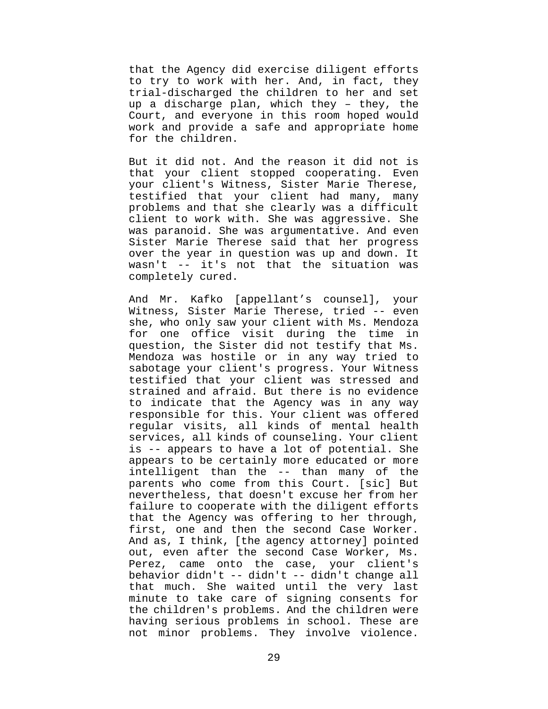that the Agency did exercise diligent efforts to try to work with her. And, in fact, they trial-discharged the children to her and set up a discharge plan, which they – they, the Court, and everyone in this room hoped would work and provide a safe and appropriate home for the children.

But it did not. And the reason it did not is that your client stopped cooperating. Even your client's Witness, Sister Marie Therese, testified that your client had many, many problems and that she clearly was a difficult client to work with. She was aggressive. She was paranoid. She was argumentative. And even Sister Marie Therese said that her progress over the year in question was up and down. It wasn't -- it's not that the situation was completely cured.

And Mr. Kafko [appellant's counsel], your Witness, Sister Marie Therese, tried -- even she, who only saw your client with Ms. Mendoza for one office visit during the time in question, the Sister did not testify that Ms. Mendoza was hostile or in any way tried to sabotage your client's progress. Your Witness testified that your client was stressed and strained and afraid. But there is no evidence to indicate that the Agency was in any way responsible for this. Your client was offered regular visits, all kinds of mental health services, all kinds of counseling. Your client is -- appears to have a lot of potential. She appears to be certainly more educated or more intelligent than the -- than many of the parents who come from this Court. [sic] But nevertheless, that doesn't excuse her from her failure to cooperate with the diligent efforts that the Agency was offering to her through, first, one and then the second Case Worker. And as, I think, [the agency attorney] pointed out, even after the second Case Worker, Ms. Perez, came onto the case, your client's behavior didn't -- didn't -- didn't change all that much. She waited until the very last minute to take care of signing consents for the children's problems. And the children were having serious problems in school. These are not minor problems. They involve violence.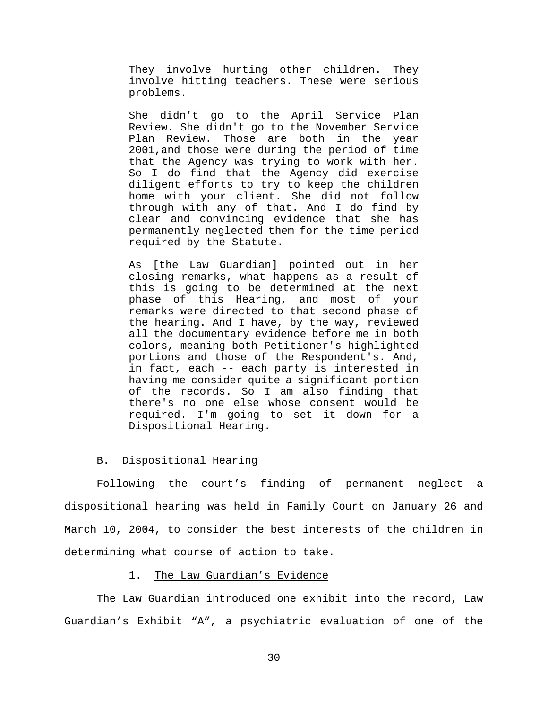They involve hurting other children. They involve hitting teachers. These were serious problems.

She didn't go to the April Service Plan Review. She didn't go to the November Service Plan Review. Those are both in the year 2001,and those were during the period of time that the Agency was trying to work with her. So I do find that the Agency did exercise diligent efforts to try to keep the children home with your client. She did not follow through with any of that. And I do find by clear and convincing evidence that she has permanently neglected them for the time period required by the Statute.

As [the Law Guardian] pointed out in her closing remarks, what happens as a result of this is going to be determined at the next phase of this Hearing, and most of your remarks were directed to that second phase of the hearing. And I have, by the way, reviewed all the documentary evidence before me in both colors, meaning both Petitioner's highlighted portions and those of the Respondent's. And, in fact, each -- each party is interested in having me consider quite a significant portion of the records. So I am also finding that there's no one else whose consent would be required. I'm going to set it down for a Dispositional Hearing.

#### B. Dispositional Hearing

Following the court's finding of permanent neglect a dispositional hearing was held in Family Court on January 26 and March 10, 2004, to consider the best interests of the children in determining what course of action to take.

## 1. The Law Guardian's Evidence

The Law Guardian introduced one exhibit into the record, Law Guardian's Exhibit "A", a psychiatric evaluation of one of the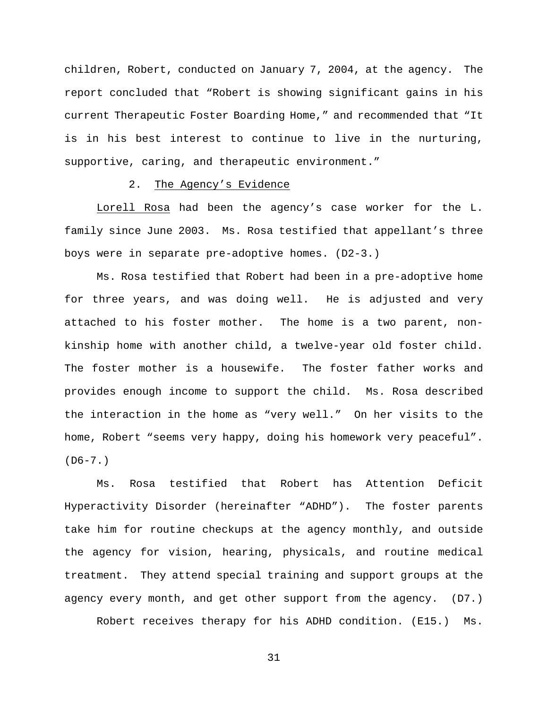children, Robert, conducted on January 7, 2004, at the agency. The report concluded that "Robert is showing significant gains in his current Therapeutic Foster Boarding Home," and recommended that "It is in his best interest to continue to live in the nurturing, supportive, caring, and therapeutic environment."

#### 2. The Agency's Evidence

Lorell Rosa had been the agency's case worker for the L. family since June 2003. Ms. Rosa testified that appellant's three boys were in separate pre-adoptive homes. (D2-3.)

Ms. Rosa testified that Robert had been in a pre-adoptive home for three years, and was doing well. He is adjusted and very attached to his foster mother. The home is a two parent, nonkinship home with another child, a twelve-year old foster child. The foster mother is a housewife. The foster father works and provides enough income to support the child. Ms. Rosa described the interaction in the home as "very well." On her visits to the home, Robert "seems very happy, doing his homework very peaceful".  $(D6-7.)$ 

Ms. Rosa testified that Robert has Attention Deficit Hyperactivity Disorder (hereinafter "ADHD"). The foster parents take him for routine checkups at the agency monthly, and outside the agency for vision, hearing, physicals, and routine medical treatment. They attend special training and support groups at the agency every month, and get other support from the agency. (D7.)

Robert receives therapy for his ADHD condition. (E15.) Ms.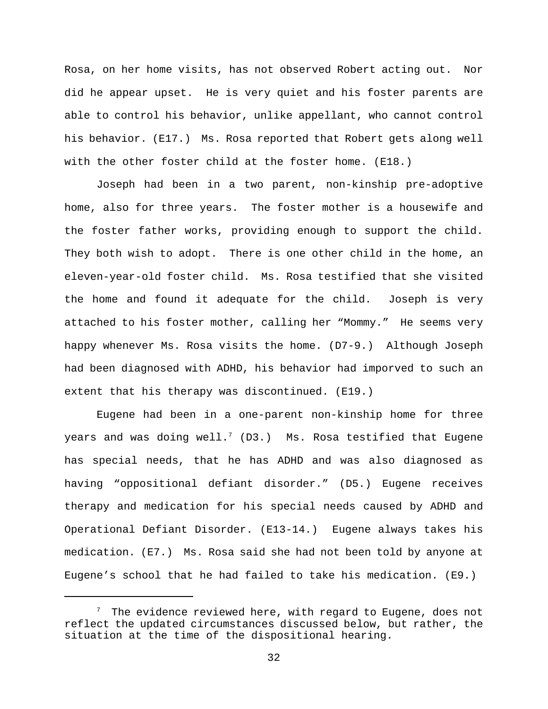Rosa, on her home visits, has not observed Robert acting out. Nor did he appear upset. He is very quiet and his foster parents are able to control his behavior, unlike appellant, who cannot control his behavior. (E17.) Ms. Rosa reported that Robert gets along well with the other foster child at the foster home. (E18.)

Joseph had been in a two parent, non-kinship pre-adoptive home, also for three years. The foster mother is a housewife and the foster father works, providing enough to support the child. They both wish to adopt. There is one other child in the home, an eleven-year-old foster child. Ms. Rosa testified that she visited the home and found it adequate for the child. Joseph is very attached to his foster mother, calling her "Mommy." He seems very happy whenever Ms. Rosa visits the home. (D7-9.) Although Joseph had been diagnosed with ADHD, his behavior had imporved to such an extent that his therapy was discontinued. (E19.)

Eugene had been in a one-parent non-kinship home for three years and was doing well.<sup>7</sup> (D3.) Ms. Rosa testified that Eugene has special needs, that he has ADHD and was also diagnosed as having "oppositional defiant disorder." (D5.) Eugene receives therapy and medication for his special needs caused by ADHD and Operational Defiant Disorder. (E13-14.) Eugene always takes his medication. (E7.) Ms. Rosa said she had not been told by anyone at Eugene's school that he had failed to take his medication. (E9.)

 $\frac{7}{7}$  The evidence reviewed here, with regard to Eugene, does not reflect the updated circumstances discussed below, but rather, the situation at the time of the dispositional hearing.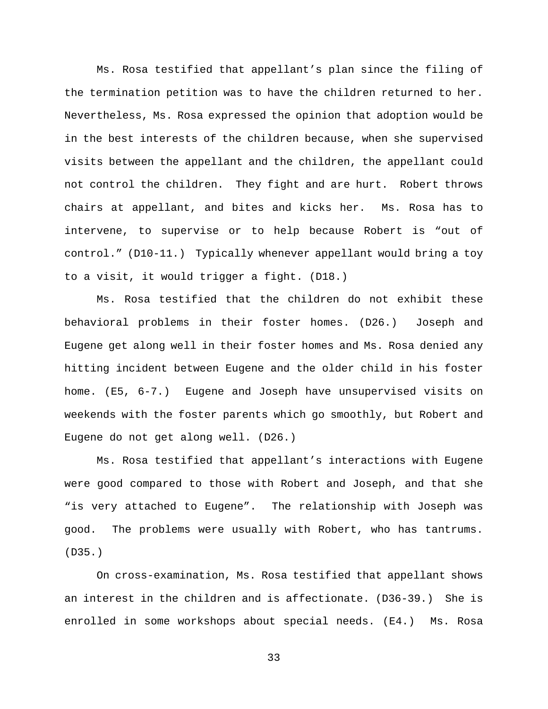Ms. Rosa testified that appellant's plan since the filing of the termination petition was to have the children returned to her. Nevertheless, Ms. Rosa expressed the opinion that adoption would be in the best interests of the children because, when she supervised visits between the appellant and the children, the appellant could not control the children. They fight and are hurt. Robert throws chairs at appellant, and bites and kicks her. Ms. Rosa has to intervene, to supervise or to help because Robert is "out of control." (D10-11.) Typically whenever appellant would bring a toy to a visit, it would trigger a fight. (D18.)

Ms. Rosa testified that the children do not exhibit these behavioral problems in their foster homes. (D26.) Joseph and Eugene get along well in their foster homes and Ms. Rosa denied any hitting incident between Eugene and the older child in his foster home. (E5, 6-7.) Eugene and Joseph have unsupervised visits on weekends with the foster parents which go smoothly, but Robert and Eugene do not get along well. (D26.)

Ms. Rosa testified that appellant's interactions with Eugene were good compared to those with Robert and Joseph, and that she "is very attached to Eugene". The relationship with Joseph was good. The problems were usually with Robert, who has tantrums. (D35.)

On cross-examination, Ms. Rosa testified that appellant shows an interest in the children and is affectionate. (D36-39.) She is enrolled in some workshops about special needs. (E4.) Ms. Rosa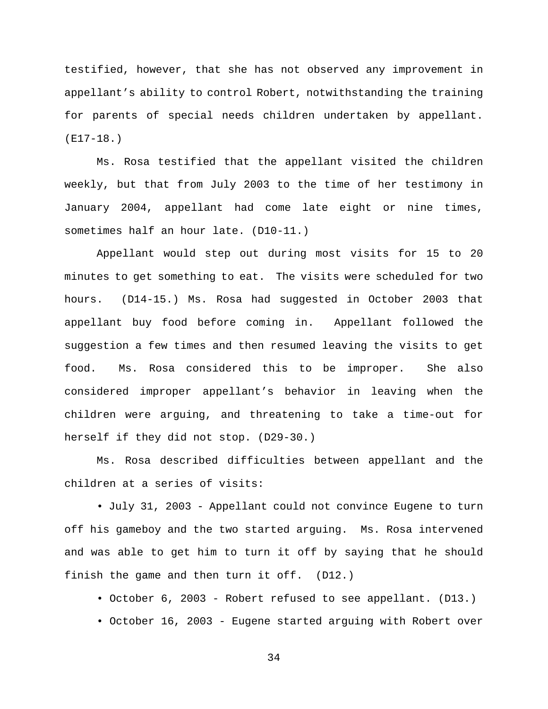testified, however, that she has not observed any improvement in appellant's ability to control Robert, notwithstanding the training for parents of special needs children undertaken by appellant. (E17-18.)

Ms. Rosa testified that the appellant visited the children weekly, but that from July 2003 to the time of her testimony in January 2004, appellant had come late eight or nine times, sometimes half an hour late. (D10-11.)

Appellant would step out during most visits for 15 to 20 minutes to get something to eat. The visits were scheduled for two hours. (D14-15.) Ms. Rosa had suggested in October 2003 that appellant buy food before coming in. Appellant followed the suggestion a few times and then resumed leaving the visits to get food. Ms. Rosa considered this to be improper. She also considered improper appellant's behavior in leaving when the children were arguing, and threatening to take a time-out for herself if they did not stop. (D29-30.)

Ms. Rosa described difficulties between appellant and the children at a series of visits:

• July 31, 2003 - Appellant could not convince Eugene to turn off his gameboy and the two started arguing. Ms. Rosa intervened and was able to get him to turn it off by saying that he should finish the game and then turn it off. (D12.)

- October 6, 2003 Robert refused to see appellant. (D13.)
- October 16, 2003 Eugene started arguing with Robert over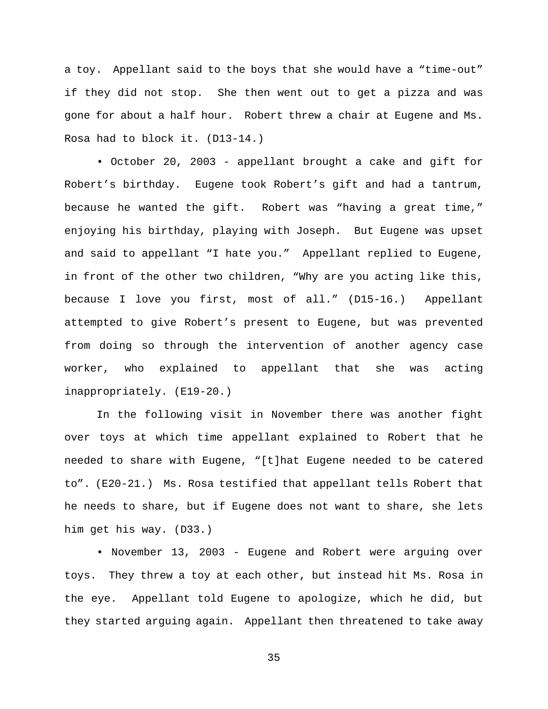a toy. Appellant said to the boys that she would have a "time-out" if they did not stop. She then went out to get a pizza and was gone for about a half hour. Robert threw a chair at Eugene and Ms. Rosa had to block it. (D13-14.)

• October 20, 2003 - appellant brought a cake and gift for Robert's birthday. Eugene took Robert's gift and had a tantrum, because he wanted the gift. Robert was "having a great time," enjoying his birthday, playing with Joseph. But Eugene was upset and said to appellant "I hate you." Appellant replied to Eugene, in front of the other two children, "Why are you acting like this, because I love you first, most of all." (D15-16.) Appellant attempted to give Robert's present to Eugene, but was prevented from doing so through the intervention of another agency case worker, who explained to appellant that she was acting inappropriately. (E19-20.)

In the following visit in November there was another fight over toys at which time appellant explained to Robert that he needed to share with Eugene, "[t]hat Eugene needed to be catered to". (E20-21.) Ms. Rosa testified that appellant tells Robert that he needs to share, but if Eugene does not want to share, she lets him get his way. (D33.)

• November 13, 2003 - Eugene and Robert were arguing over toys. They threw a toy at each other, but instead hit Ms. Rosa in the eye. Appellant told Eugene to apologize, which he did, but they started arguing again. Appellant then threatened to take away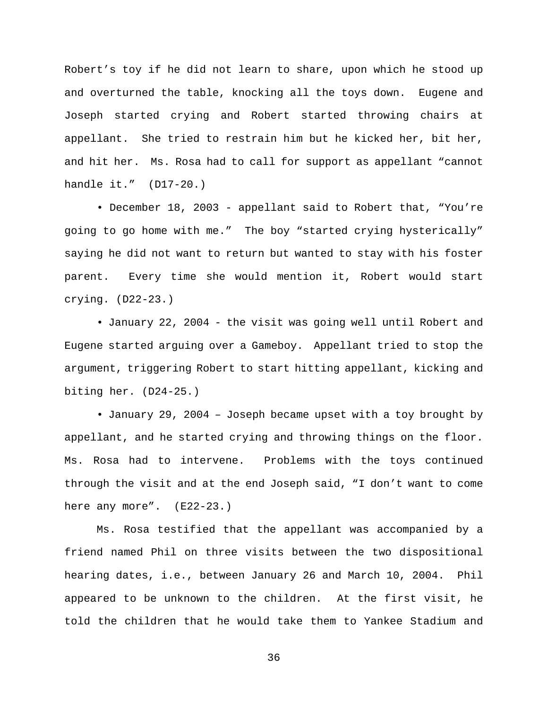Robert's toy if he did not learn to share, upon which he stood up and overturned the table, knocking all the toys down. Eugene and Joseph started crying and Robert started throwing chairs at appellant. She tried to restrain him but he kicked her, bit her, and hit her. Ms. Rosa had to call for support as appellant "cannot handle it." (D17-20.)

• December 18, 2003 - appellant said to Robert that, "You're going to go home with me." The boy "started crying hysterically" saying he did not want to return but wanted to stay with his foster parent. Every time she would mention it, Robert would start crying. (D22-23.)

• January 22, 2004 - the visit was going well until Robert and Eugene started arguing over a Gameboy. Appellant tried to stop the argument, triggering Robert to start hitting appellant, kicking and biting her. (D24-25.)

• January 29, 2004 – Joseph became upset with a toy brought by appellant, and he started crying and throwing things on the floor. Ms. Rosa had to intervene. Problems with the toys continued through the visit and at the end Joseph said, "I don't want to come here any more".  $(E22-23.)$ 

Ms. Rosa testified that the appellant was accompanied by a friend named Phil on three visits between the two dispositional hearing dates, i.e., between January 26 and March 10, 2004. Phil appeared to be unknown to the children. At the first visit, he told the children that he would take them to Yankee Stadium and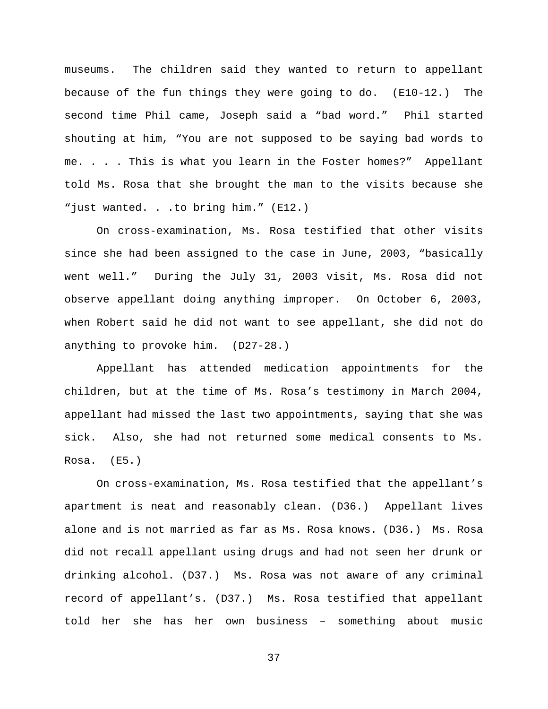museums. The children said they wanted to return to appellant because of the fun things they were going to do. (E10-12.) The second time Phil came, Joseph said a "bad word." Phil started shouting at him, "You are not supposed to be saying bad words to me. . . . This is what you learn in the Foster homes?" Appellant told Ms. Rosa that she brought the man to the visits because she "just wanted. . .to bring him." (E12.)

On cross-examination, Ms. Rosa testified that other visits since she had been assigned to the case in June, 2003, "basically went well." During the July 31, 2003 visit, Ms. Rosa did not observe appellant doing anything improper. On October 6, 2003, when Robert said he did not want to see appellant, she did not do anything to provoke him. (D27-28.)

Appellant has attended medication appointments for the children, but at the time of Ms. Rosa's testimony in March 2004, appellant had missed the last two appointments, saying that she was sick. Also, she had not returned some medical consents to Ms. Rosa. (E5.)

On cross-examination, Ms. Rosa testified that the appellant's apartment is neat and reasonably clean. (D36.) Appellant lives alone and is not married as far as Ms. Rosa knows. (D36.) Ms. Rosa did not recall appellant using drugs and had not seen her drunk or drinking alcohol. (D37.) Ms. Rosa was not aware of any criminal record of appellant's. (D37.) Ms. Rosa testified that appellant told her she has her own business – something about music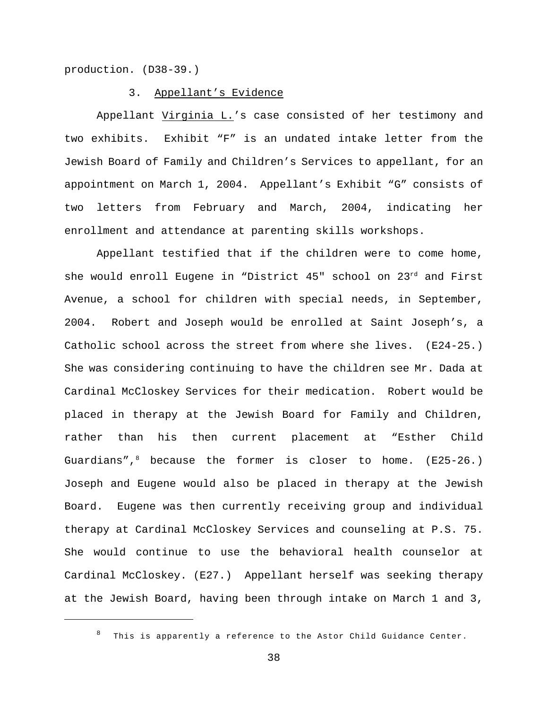production. (D38-39.)

### 3. Appellant's Evidence

Appellant Virginia L.'s case consisted of her testimony and two exhibits. Exhibit "F" is an undated intake letter from the Jewish Board of Family and Children's Services to appellant, for an appointment on March 1, 2004. Appellant's Exhibit "G" consists of two letters from February and March, 2004, indicating her enrollment and attendance at parenting skills workshops.

Appellant testified that if the children were to come home, she would enroll Eugene in "District 45" school on 23rd and First Avenue, a school for children with special needs, in September, 2004. Robert and Joseph would be enrolled at Saint Joseph's, a Catholic school across the street from where she lives. (E24-25.) She was considering continuing to have the children see Mr. Dada at Cardinal McCloskey Services for their medication. Robert would be placed in therapy at the Jewish Board for Family and Children, rather than his then current placement at "Esther Child Guardians", $8$  because the former is closer to home. (E25-26.) Joseph and Eugene would also be placed in therapy at the Jewish Board. Eugene was then currently receiving group and individual therapy at Cardinal McCloskey Services and counseling at P.S. 75. She would continue to use the behavioral health counselor at Cardinal McCloskey. (E27.) Appellant herself was seeking therapy at the Jewish Board, having been through intake on March 1 and 3,

 $8$  This is apparently a reference to the Astor Child Guidance Center.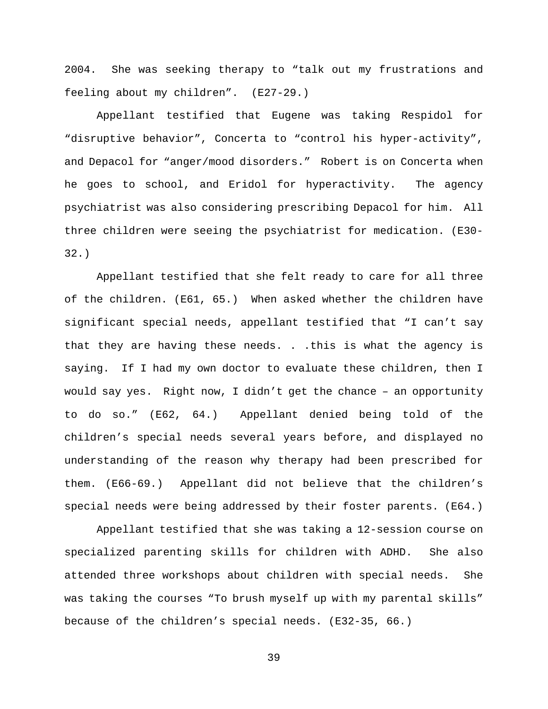2004. She was seeking therapy to "talk out my frustrations and feeling about my children". (E27-29.)

Appellant testified that Eugene was taking Respidol for "disruptive behavior", Concerta to "control his hyper-activity", and Depacol for "anger/mood disorders." Robert is on Concerta when he goes to school, and Eridol for hyperactivity. The agency psychiatrist was also considering prescribing Depacol for him. All three children were seeing the psychiatrist for medication. (E30- 32.)

Appellant testified that she felt ready to care for all three of the children. (E61, 65.) When asked whether the children have significant special needs, appellant testified that "I can't say that they are having these needs. . .this is what the agency is saying. If I had my own doctor to evaluate these children, then I would say yes. Right now, I didn't get the chance – an opportunity to do so." (E62, 64.) Appellant denied being told of the children's special needs several years before, and displayed no understanding of the reason why therapy had been prescribed for them. (E66-69.) Appellant did not believe that the children's special needs were being addressed by their foster parents. (E64.)

Appellant testified that she was taking a 12-session course on specialized parenting skills for children with ADHD. She also attended three workshops about children with special needs. She was taking the courses "To brush myself up with my parental skills" because of the children's special needs. (E32-35, 66.)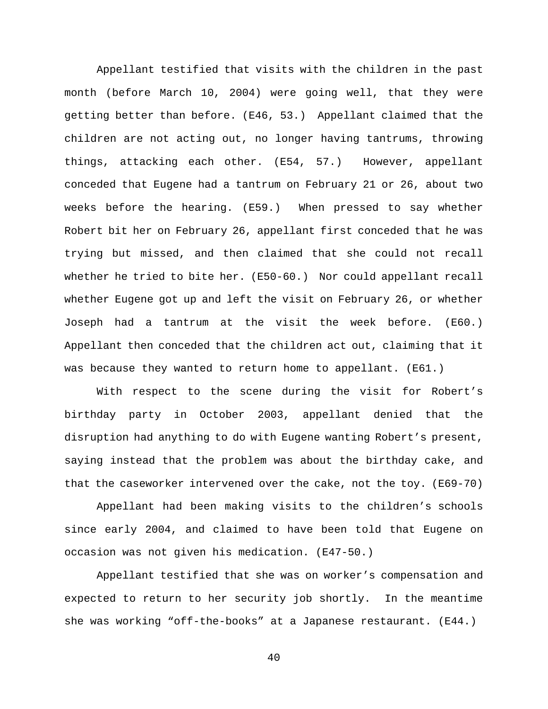Appellant testified that visits with the children in the past month (before March 10, 2004) were going well, that they were getting better than before. (E46, 53.) Appellant claimed that the children are not acting out, no longer having tantrums, throwing things, attacking each other. (E54, 57.) However, appellant conceded that Eugene had a tantrum on February 21 or 26, about two weeks before the hearing. (E59.) When pressed to say whether Robert bit her on February 26, appellant first conceded that he was trying but missed, and then claimed that she could not recall whether he tried to bite her. (E50-60.) Nor could appellant recall whether Eugene got up and left the visit on February 26, or whether Joseph had a tantrum at the visit the week before. (E60.) Appellant then conceded that the children act out, claiming that it was because they wanted to return home to appellant. (E61.)

With respect to the scene during the visit for Robert's birthday party in October 2003, appellant denied that the disruption had anything to do with Eugene wanting Robert's present, saying instead that the problem was about the birthday cake, and that the caseworker intervened over the cake, not the toy. (E69-70)

Appellant had been making visits to the children's schools since early 2004, and claimed to have been told that Eugene on occasion was not given his medication. (E47-50.)

Appellant testified that she was on worker's compensation and expected to return to her security job shortly. In the meantime she was working "off-the-books" at a Japanese restaurant. (E44.)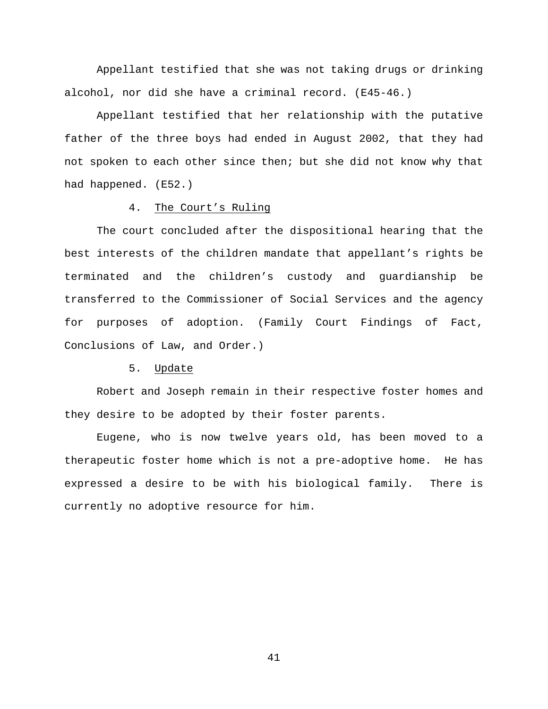Appellant testified that she was not taking drugs or drinking alcohol, nor did she have a criminal record. (E45-46.)

Appellant testified that her relationship with the putative father of the three boys had ended in August 2002, that they had not spoken to each other since then; but she did not know why that had happened. (E52.)

### 4. The Court's Ruling

The court concluded after the dispositional hearing that the best interests of the children mandate that appellant's rights be terminated and the children's custody and guardianship be transferred to the Commissioner of Social Services and the agency for purposes of adoption. (Family Court Findings of Fact, Conclusions of Law, and Order.)

# 5. Update

Robert and Joseph remain in their respective foster homes and they desire to be adopted by their foster parents.

Eugene, who is now twelve years old, has been moved to a therapeutic foster home which is not a pre-adoptive home. He has expressed a desire to be with his biological family. There is currently no adoptive resource for him.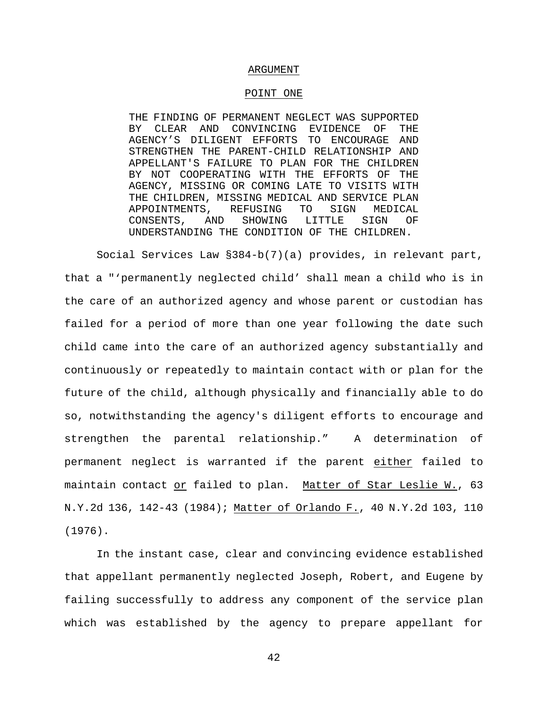#### ARGUMENT

### POINT ONE

THE FINDING OF PERMANENT NEGLECT WAS SUPPORTED BY CLEAR AND CONVINCING EVIDENCE OF THE AGENCY'S DILIGENT EFFORTS TO ENCOURAGE AND STRENGTHEN THE PARENT-CHILD RELATIONSHIP AND APPELLANT'S FAILURE TO PLAN FOR THE CHILDREN BY NOT COOPERATING WITH THE EFFORTS OF THE AGENCY, MISSING OR COMING LATE TO VISITS WITH THE CHILDREN, MISSING MEDICAL AND SERVICE PLAN APPOINTMENTS, REFUSING TO SIGN MEDICAL CONSENTS, AND SHOWING LITTLE SIGN OF UNDERSTANDING THE CONDITION OF THE CHILDREN.

Social Services Law §384-b(7)(a) provides, in relevant part, that a "'permanently neglected child' shall mean a child who is in the care of an authorized agency and whose parent or custodian has failed for a period of more than one year following the date such child came into the care of an authorized agency substantially and continuously or repeatedly to maintain contact with or plan for the future of the child, although physically and financially able to do so, notwithstanding the agency's diligent efforts to encourage and strengthen the parental relationship." A determination of permanent neglect is warranted if the parent either failed to maintain contact or failed to plan. Matter of Star Leslie W., 63 N.Y.2d 136, 142-43 (1984); Matter of Orlando F., 40 N.Y.2d 103, 110 (1976).

In the instant case, clear and convincing evidence established that appellant permanently neglected Joseph, Robert, and Eugene by failing successfully to address any component of the service plan which was established by the agency to prepare appellant for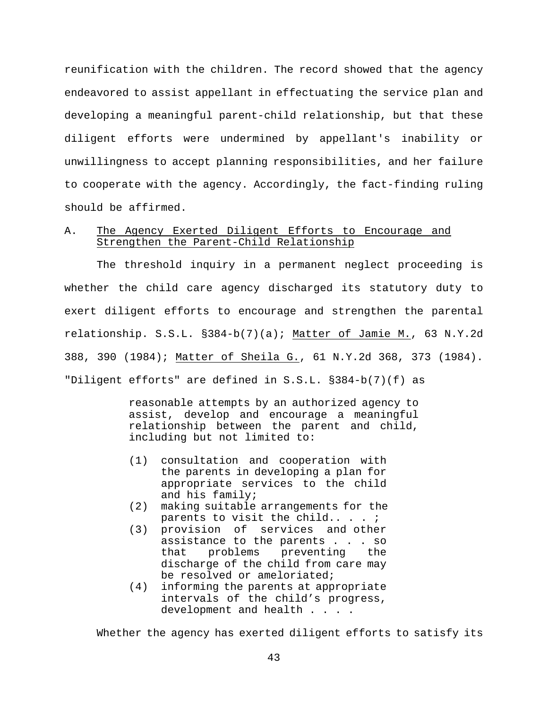reunification with the children. The record showed that the agency endeavored to assist appellant in effectuating the service plan and developing a meaningful parent-child relationship, but that these diligent efforts were undermined by appellant's inability or unwillingness to accept planning responsibilities, and her failure to cooperate with the agency. Accordingly, the fact-finding ruling should be affirmed.

# A. The Agency Exerted Diligent Efforts to Encourage and Strengthen the Parent-Child Relationship

The threshold inquiry in a permanent neglect proceeding is whether the child care agency discharged its statutory duty to exert diligent efforts to encourage and strengthen the parental relationship. S.S.L. §384-b(7)(a); Matter of Jamie M., 63 N.Y.2d 388, 390 (1984); Matter of Sheila G., 61 N.Y.2d 368, 373 (1984). "Diligent efforts" are defined in S.S.L. §384-b(7)(f) as

> reasonable attempts by an authorized agency to assist, develop and encourage a meaningful relationship between the parent and child, including but not limited to:

- (1) consultation and cooperation with the parents in developing a plan for appropriate services to the child and his family;
- (2) making suitable arrangements for the parents to visit the child....
- (3) provision of services and other assistance to the parents . . . so that problems preventing the discharge of the child from care may be resolved or ameloriated;
- (4) informing the parents at appropriate intervals of the child's progress, development and health . . . .

Whether the agency has exerted diligent efforts to satisfy its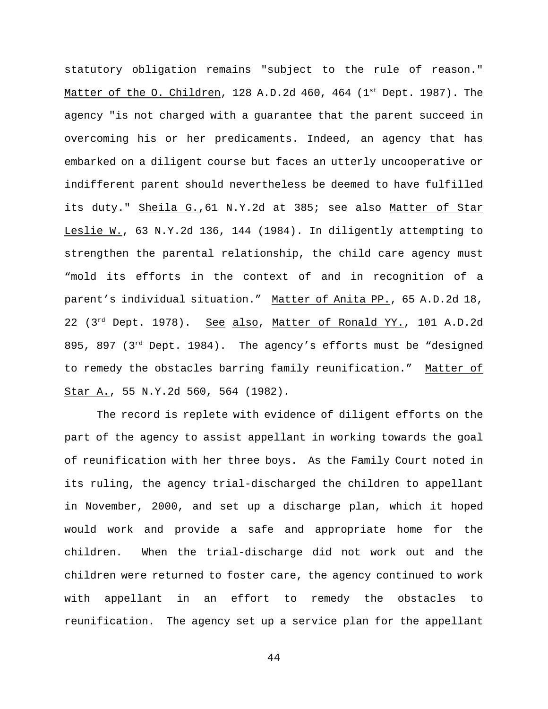statutory obligation remains "subject to the rule of reason." Matter of the O. Children, 128 A.D.2d 460, 464 ( $1<sup>st</sup>$  Dept. 1987). The agency "is not charged with a guarantee that the parent succeed in overcoming his or her predicaments. Indeed, an agency that has embarked on a diligent course but faces an utterly uncooperative or indifferent parent should nevertheless be deemed to have fulfilled its duty." Sheila G.,61 N.Y.2d at 385; see also Matter of Star Leslie W., 63 N.Y.2d 136, 144 (1984). In diligently attempting to strengthen the parental relationship, the child care agency must "mold its efforts in the context of and in recognition of a parent's individual situation." Matter of Anita PP., 65 A.D.2d 18, 22 (3<sup>rd</sup> Dept. 1978). See also, Matter of Ronald YY., 101 A.D.2d 895, 897 ( $3<sup>rd</sup>$  Dept. 1984). The agency's efforts must be "designed to remedy the obstacles barring family reunification." Matter of Star A., 55 N.Y.2d 560, 564 (1982).

The record is replete with evidence of diligent efforts on the part of the agency to assist appellant in working towards the goal of reunification with her three boys. As the Family Court noted in its ruling, the agency trial-discharged the children to appellant in November, 2000, and set up a discharge plan, which it hoped would work and provide a safe and appropriate home for the children. When the trial-discharge did not work out and the children were returned to foster care, the agency continued to work with appellant in an effort to remedy the obstacles to reunification. The agency set up a service plan for the appellant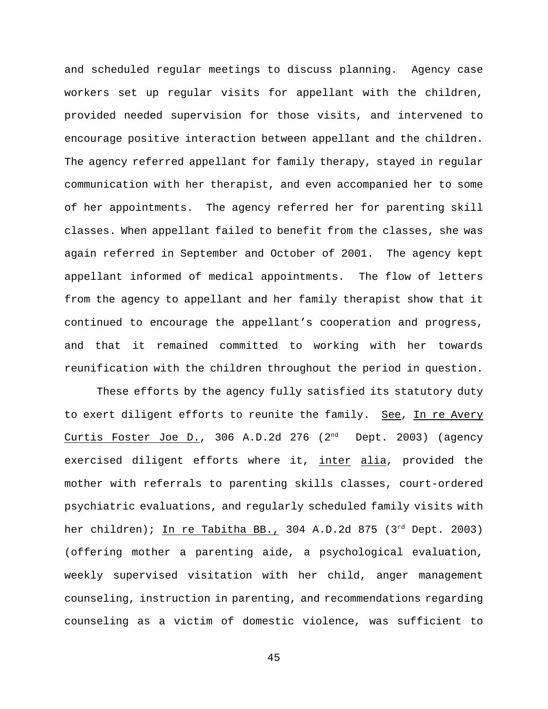and scheduled regular meetings to discuss planning. Agency case workers set up regular visits for appellant with the children, provided needed supervision for those visits, and intervened to encourage positive interaction between appellant and the children. The agency referred appellant for family therapy, stayed in regular communication with her therapist, and even accompanied her to some of her appointments. The agency referred her for parenting skill classes. When appellant failed to benefit from the classes, she was again referred in September and October of 2001. The agency kept appellant informed of medical appointments. The flow of letters from the agency to appellant and her family therapist show that it continued to encourage the appellant's cooperation and progress, and that it remained committed to working with her towards reunification with the children throughout the period in question.

These efforts by the agency fully satisfied its statutory duty to exert diligent efforts to reunite the family. See, In re Avery Curtis Foster Joe D., 306 A.D.2d 276  $(2<sup>nd</sup>$  Dept. 2003) (agency exercised diligent efforts where it, inter alia, provided the mother with referrals to parenting skills classes, court-ordered psychiatric evaluations, and regularly scheduled family visits with her children); In re Tabitha BB., 304 A.D.2d 875 ( $3^{rd}$  Dept. 2003) (offering mother a parenting aide, a psychological evaluation, weekly supervised visitation with her child, anger management counseling, instruction in parenting, and recommendations regarding counseling as a victim of domestic violence, was sufficient to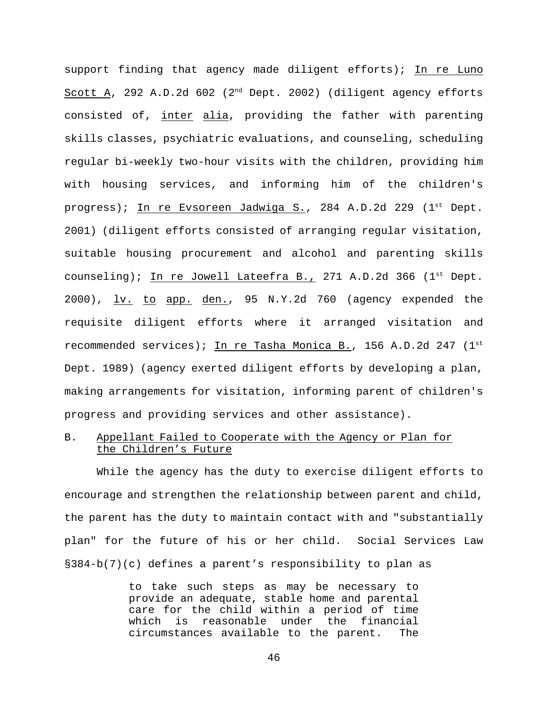support finding that agency made diligent efforts); In re Luno Scott A, 292 A.D.2d 602 ( $2<sup>nd</sup>$  Dept. 2002) (diligent agency efforts consisted of, inter alia, providing the father with parenting skills classes, psychiatric evaluations, and counseling, scheduling regular bi-weekly two-hour visits with the children, providing him with housing services, and informing him of the children's progress); In re Evsoreen Jadwiga S., 284 A.D.2d 229 ( $1<sup>st</sup>$  Dept. 2001) (diligent efforts consisted of arranging regular visitation, suitable housing procurement and alcohol and parenting skills counseling); In re Jowell Lateefra B., 271 A.D.2d 366  $(1<sup>st</sup>$  Dept.  $2000$ ,  $\underline{lv.}$  to app. den., 95 N.Y.2d 760 (agency expended the requisite diligent efforts where it arranged visitation and recommended services); In re Tasha Monica B., 156 A.D.2d 247 (1st Dept. 1989) (agency exerted diligent efforts by developing a plan, making arrangements for visitation, informing parent of children's progress and providing services and other assistance).

# B. Appellant Failed to Cooperate with the Agency or Plan for the Children's Future

While the agency has the duty to exercise diligent efforts to encourage and strengthen the relationship between parent and child, the parent has the duty to maintain contact with and "substantially plan" for the future of his or her child. Social Services Law §384-b(7)(c) defines a parent's responsibility to plan as

> to take such steps as may be necessary to provide an adequate, stable home and parental care for the child within a period of time which is reasonable under the financial circumstances available to the parent. The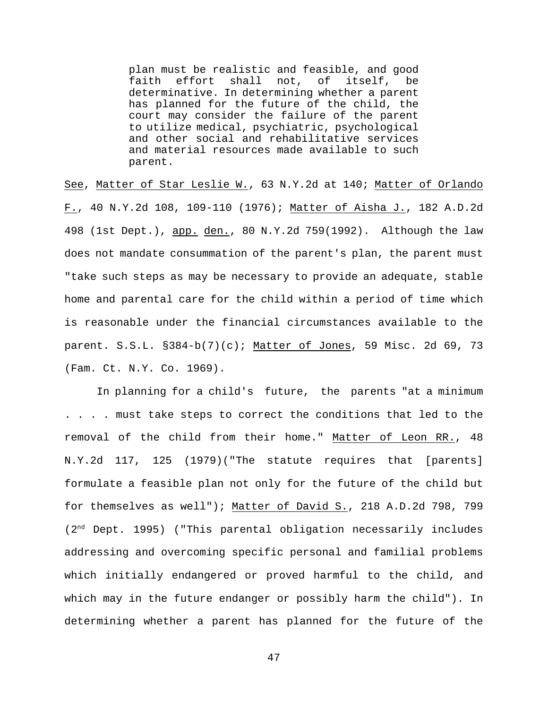plan must be realistic and feasible, and good faith effort shall not, of itself, be determinative. In determining whether a parent has planned for the future of the child, the court may consider the failure of the parent to utilize medical, psychiatric, psychological and other social and rehabilitative services and material resources made available to such parent.

See, Matter of Star Leslie W., 63 N.Y.2d at 140; Matter of Orlando F., 40 N.Y.2d 108, 109-110 (1976); Matter of Aisha J., 182 A.D.2d 498 (1st Dept.), app. den., 80 N.Y.2d 759(1992). Although the law does not mandate consummation of the parent's plan, the parent must "take such steps as may be necessary to provide an adequate, stable home and parental care for the child within a period of time which is reasonable under the financial circumstances available to the parent. S.S.L. §384-b(7)(c); Matter of Jones, 59 Misc. 2d 69, 73 (Fam. Ct. N.Y. Co. 1969).

In planning for a child's future, the parents "at a minimum . . . . must take steps to correct the conditions that led to the removal of the child from their home." Matter of Leon RR., 48 N.Y.2d 117, 125 (1979)("The statute requires that [parents] formulate a feasible plan not only for the future of the child but for themselves as well"); Matter of David S., 218 A.D.2d 798, 799  $(2<sup>nd</sup>$  Dept. 1995) ("This parental obligation necessarily includes addressing and overcoming specific personal and familial problems which initially endangered or proved harmful to the child, and which may in the future endanger or possibly harm the child"). In determining whether a parent has planned for the future of the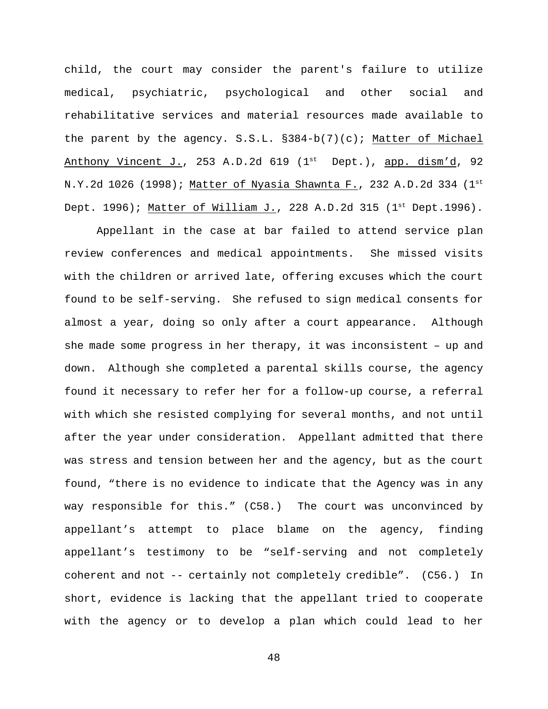child, the court may consider the parent's failure to utilize medical, psychiatric, psychological and other social and rehabilitative services and material resources made available to the parent by the agency.  $S.S.L. S384-b(7)(c)$ ; Matter of Michael Anthony Vincent J., 253 A.D.2d 619 ( $1<sup>st</sup>$  Dept.), app. dism'd, 92 N.Y.2d 1026 (1998); Matter of Nyasia Shawnta F., 232 A.D.2d 334 (1st) Dept. 1996); Matter of William J., 228 A.D.2d 315 ( $1<sup>st</sup>$  Dept.1996).

Appellant in the case at bar failed to attend service plan review conferences and medical appointments. She missed visits with the children or arrived late, offering excuses which the court found to be self-serving. She refused to sign medical consents for almost a year, doing so only after a court appearance. Although she made some progress in her therapy, it was inconsistent – up and down. Although she completed a parental skills course, the agency found it necessary to refer her for a follow-up course, a referral with which she resisted complying for several months, and not until after the year under consideration. Appellant admitted that there was stress and tension between her and the agency, but as the court found, "there is no evidence to indicate that the Agency was in any way responsible for this." (C58.) The court was unconvinced by appellant's attempt to place blame on the agency, finding appellant's testimony to be "self-serving and not completely coherent and not -- certainly not completely credible". (C56.) In short, evidence is lacking that the appellant tried to cooperate with the agency or to develop a plan which could lead to her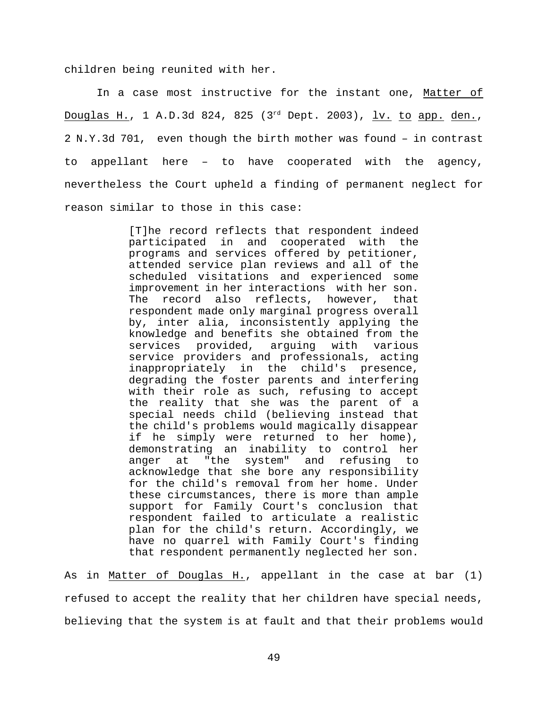children being reunited with her.

In a case most instructive for the instant one, Matter of Douglas H., 1 A.D.3d 824, 825 (3<sup>rd</sup> Dept. 2003), <u>lv. to app. den.</u>, 2 N.Y.3d 701, even though the birth mother was found – in contrast to appellant here – to have cooperated with the agency, nevertheless the Court upheld a finding of permanent neglect for reason similar to those in this case:

> [T]he record reflects that respondent indeed participated in and cooperated with the programs and services offered by petitioner, attended service plan reviews and all of the scheduled visitations and experienced some improvement in her interactions with her son. The record also reflects, however, that respondent made only marginal progress overall by, inter alia, inconsistently applying the knowledge and benefits she obtained from the services provided, arguing with various service providers and professionals, acting inappropriately in the child's presence, degrading the foster parents and interfering with their role as such, refusing to accept the reality that she was the parent of a special needs child (believing instead that the child's problems would magically disappear if he simply were returned to her home), demonstrating an inability to control her anger at "the system" and refusing to acknowledge that she bore any responsibility for the child's removal from her home. Under these circumstances, there is more than ample support for Family Court's conclusion that respondent failed to articulate a realistic plan for the child's return. Accordingly, we have no quarrel with Family Court's finding that respondent permanently neglected her son.

As in Matter of Douglas H., appellant in the case at bar (1) refused to accept the reality that her children have special needs, believing that the system is at fault and that their problems would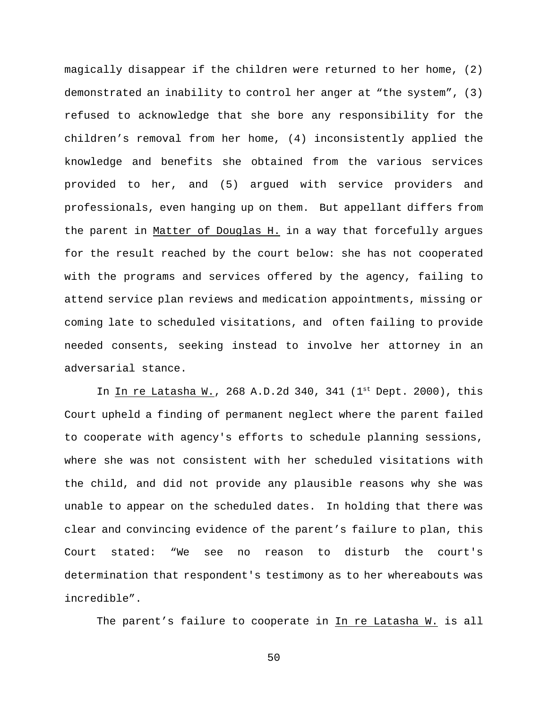magically disappear if the children were returned to her home, (2) demonstrated an inability to control her anger at "the system", (3) refused to acknowledge that she bore any responsibility for the children's removal from her home, (4) inconsistently applied the knowledge and benefits she obtained from the various services provided to her, and (5) argued with service providers and professionals, even hanging up on them. But appellant differs from the parent in Matter of Douglas H. in a way that forcefully argues for the result reached by the court below: she has not cooperated with the programs and services offered by the agency, failing to attend service plan reviews and medication appointments, missing or coming late to scheduled visitations, and often failing to provide needed consents, seeking instead to involve her attorney in an adversarial stance.

In In re Latasha W., 268 A.D.2d 340, 341 ( $1^{st}$  Dept. 2000), this Court upheld a finding of permanent neglect where the parent failed to cooperate with agency's efforts to schedule planning sessions, where she was not consistent with her scheduled visitations with the child, and did not provide any plausible reasons why she was unable to appear on the scheduled dates. In holding that there was clear and convincing evidence of the parent's failure to plan, this Court stated: "We see no reason to disturb the court's determination that respondent's testimony as to her whereabouts was incredible".

The parent's failure to cooperate in In re Latasha W. is all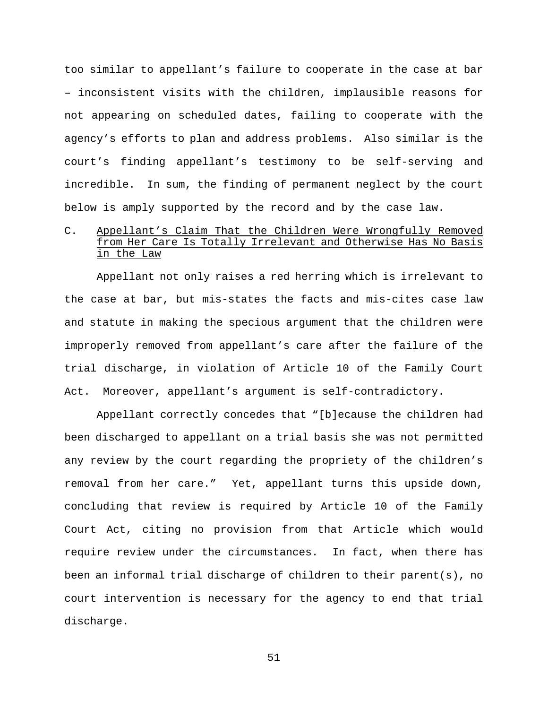too similar to appellant's failure to cooperate in the case at bar – inconsistent visits with the children, implausible reasons for not appearing on scheduled dates, failing to cooperate with the agency's efforts to plan and address problems. Also similar is the court's finding appellant's testimony to be self-serving and incredible. In sum, the finding of permanent neglect by the court below is amply supported by the record and by the case law.

# C. Appellant's Claim That the Children Were Wrongfully Removed from Her Care Is Totally Irrelevant and Otherwise Has No Basis in the Law

Appellant not only raises a red herring which is irrelevant to the case at bar, but mis-states the facts and mis-cites case law and statute in making the specious argument that the children were improperly removed from appellant's care after the failure of the trial discharge, in violation of Article 10 of the Family Court Act. Moreover, appellant's argument is self-contradictory.

Appellant correctly concedes that "[b]ecause the children had been discharged to appellant on a trial basis she was not permitted any review by the court regarding the propriety of the children's removal from her care." Yet, appellant turns this upside down, concluding that review is required by Article 10 of the Family Court Act, citing no provision from that Article which would require review under the circumstances. In fact, when there has been an informal trial discharge of children to their parent(s), no court intervention is necessary for the agency to end that trial discharge.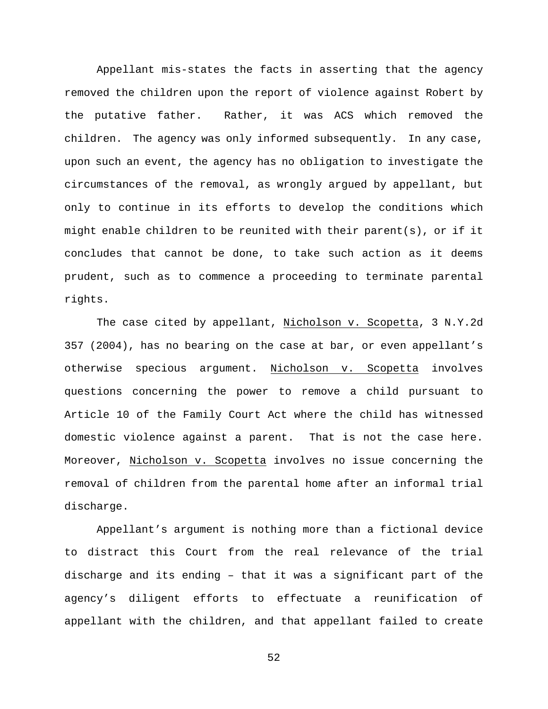Appellant mis-states the facts in asserting that the agency removed the children upon the report of violence against Robert by the putative father. Rather, it was ACS which removed the children. The agency was only informed subsequently. In any case, upon such an event, the agency has no obligation to investigate the circumstances of the removal, as wrongly argued by appellant, but only to continue in its efforts to develop the conditions which might enable children to be reunited with their parent(s), or if it concludes that cannot be done, to take such action as it deems prudent, such as to commence a proceeding to terminate parental rights.

The case cited by appellant, Nicholson v. Scopetta, 3 N.Y.2d 357 (2004), has no bearing on the case at bar, or even appellant's otherwise specious argument. Nicholson v. Scopetta involves questions concerning the power to remove a child pursuant to Article 10 of the Family Court Act where the child has witnessed domestic violence against a parent. That is not the case here. Moreover, Nicholson v. Scopetta involves no issue concerning the removal of children from the parental home after an informal trial discharge.

Appellant's argument is nothing more than a fictional device to distract this Court from the real relevance of the trial discharge and its ending – that it was a significant part of the agency's diligent efforts to effectuate a reunification of appellant with the children, and that appellant failed to create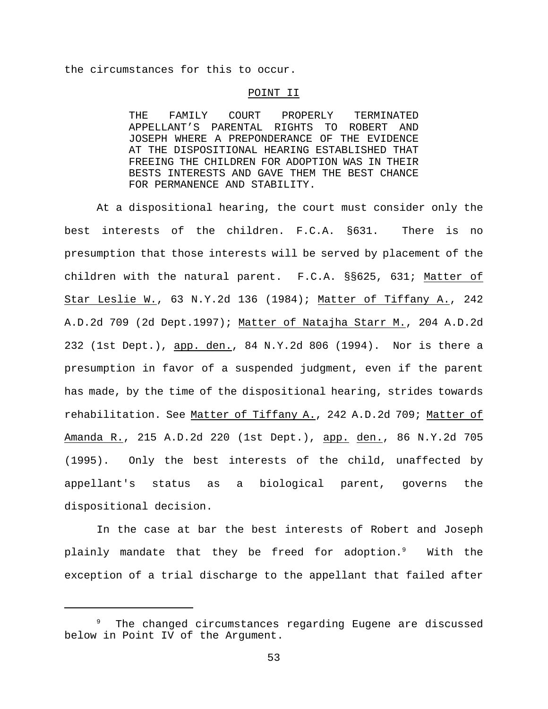the circumstances for this to occur.

### POINT II

THE FAMILY COURT PROPERLY TERMINATED APPELLANT'S PARENTAL RIGHTS TO ROBERT AND JOSEPH WHERE A PREPONDERANCE OF THE EVIDENCE AT THE DISPOSITIONAL HEARING ESTABLISHED THAT FREEING THE CHILDREN FOR ADOPTION WAS IN THEIR BESTS INTERESTS AND GAVE THEM THE BEST CHANCE FOR PERMANENCE AND STABILITY.

At a dispositional hearing, the court must consider only the best interests of the children. F.C.A. §631. There is no presumption that those interests will be served by placement of the children with the natural parent. F.C.A. §§625, 631; Matter of Star Leslie W., 63 N.Y.2d 136 (1984); Matter of Tiffany A., 242 A.D.2d 709 (2d Dept.1997); Matter of Natajha Starr M., 204 A.D.2d 232 (1st Dept.), app. den., 84 N.Y.2d 806 (1994). Nor is there a presumption in favor of a suspended judgment, even if the parent has made, by the time of the dispositional hearing, strides towards rehabilitation. See Matter of Tiffany A., 242 A.D.2d 709; Matter of Amanda R., 215 A.D.2d 220 (1st Dept.), app. den., 86 N.Y.2d 705 (1995). Only the best interests of the child, unaffected by appellant's status as a biological parent, governs the dispositional decision.

In the case at bar the best interests of Robert and Joseph plainly mandate that they be freed for adoption.<sup>9</sup> With the exception of a trial discharge to the appellant that failed after

 $9$  The changed circumstances regarding Eugene are discussed below in Point IV of the Argument.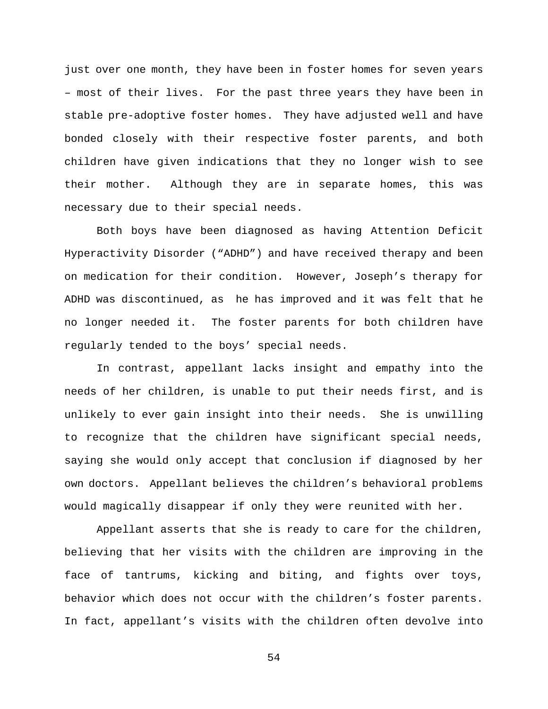just over one month, they have been in foster homes for seven years – most of their lives. For the past three years they have been in stable pre-adoptive foster homes. They have adjusted well and have bonded closely with their respective foster parents, and both children have given indications that they no longer wish to see their mother. Although they are in separate homes, this was necessary due to their special needs.

Both boys have been diagnosed as having Attention Deficit Hyperactivity Disorder ("ADHD") and have received therapy and been on medication for their condition. However, Joseph's therapy for ADHD was discontinued, as he has improved and it was felt that he no longer needed it. The foster parents for both children have regularly tended to the boys' special needs.

In contrast, appellant lacks insight and empathy into the needs of her children, is unable to put their needs first, and is unlikely to ever gain insight into their needs. She is unwilling to recognize that the children have significant special needs, saying she would only accept that conclusion if diagnosed by her own doctors. Appellant believes the children's behavioral problems would magically disappear if only they were reunited with her.

Appellant asserts that she is ready to care for the children, believing that her visits with the children are improving in the face of tantrums, kicking and biting, and fights over toys, behavior which does not occur with the children's foster parents. In fact, appellant's visits with the children often devolve into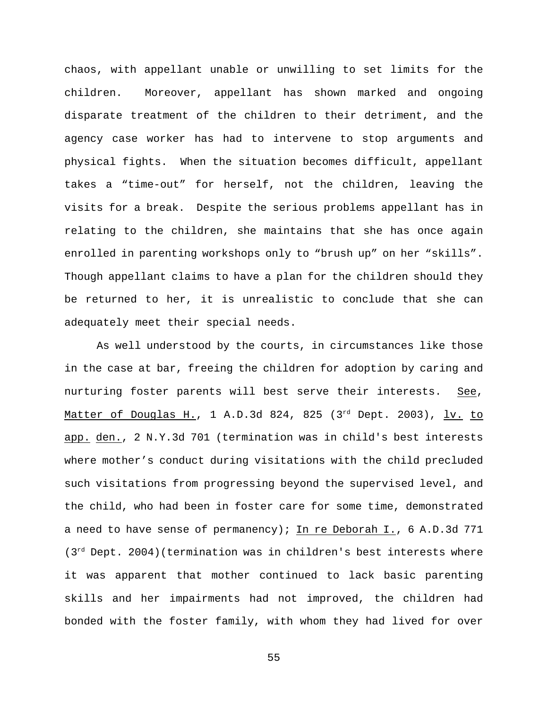chaos, with appellant unable or unwilling to set limits for the children. Moreover, appellant has shown marked and ongoing disparate treatment of the children to their detriment, and the agency case worker has had to intervene to stop arguments and physical fights. When the situation becomes difficult, appellant takes a "time-out" for herself, not the children, leaving the visits for a break. Despite the serious problems appellant has in relating to the children, she maintains that she has once again enrolled in parenting workshops only to "brush up" on her "skills". Though appellant claims to have a plan for the children should they be returned to her, it is unrealistic to conclude that she can adequately meet their special needs.

As well understood by the courts, in circumstances like those in the case at bar, freeing the children for adoption by caring and nurturing foster parents will best serve their interests. See, Matter of Douglas H., 1 A.D.3d 824, 825 (3 $^{rd}$  Dept. 2003), lv. to app. den., 2 N.Y.3d 701 (termination was in child's best interests where mother's conduct during visitations with the child precluded such visitations from progressing beyond the supervised level, and the child, who had been in foster care for some time, demonstrated a need to have sense of permanency); In re Deborah I., 6 A.D.3d 771  $(3<sup>rd</sup>$  Dept. 2004)(termination was in children's best interests where it was apparent that mother continued to lack basic parenting skills and her impairments had not improved, the children had bonded with the foster family, with whom they had lived for over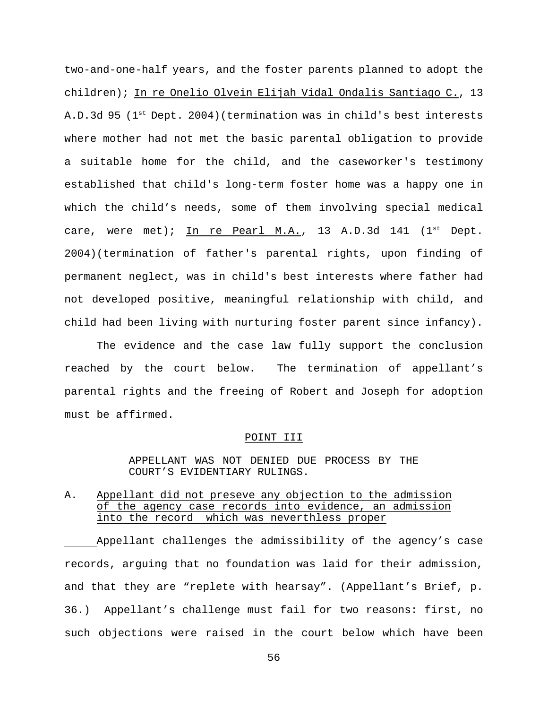two-and-one-half years, and the foster parents planned to adopt the children); In re Onelio Olvein Elijah Vidal Ondalis Santiago C., 13 A.D.3d 95 ( $1<sup>st</sup>$  Dept. 2004)(termination was in child's best interests where mother had not met the basic parental obligation to provide a suitable home for the child, and the caseworker's testimony established that child's long-term foster home was a happy one in which the child's needs, some of them involving special medical care, were met); In re Pearl M.A., 13 A.D.3d 141  $(1^{st}$  Dept. 2004)(termination of father's parental rights, upon finding of permanent neglect, was in child's best interests where father had not developed positive, meaningful relationship with child, and child had been living with nurturing foster parent since infancy).

The evidence and the case law fully support the conclusion reached by the court below. The termination of appellant's parental rights and the freeing of Robert and Joseph for adoption must be affirmed.

### POINT III

### APPELLANT WAS NOT DENIED DUE PROCESS BY THE COURT'S EVIDENTIARY RULINGS.

# A. Appellant did not preseve any objection to the admission of the agency case records into evidence, an admission into the record which was neverthless proper

Appellant challenges the admissibility of the agency's case records, arguing that no foundation was laid for their admission, and that they are "replete with hearsay". (Appellant's Brief, p. 36.) Appellant's challenge must fail for two reasons: first, no such objections were raised in the court below which have been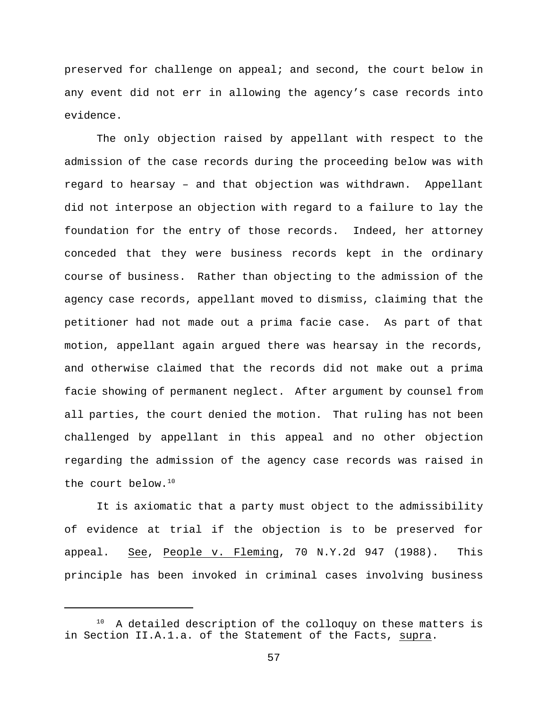preserved for challenge on appeal; and second, the court below in any event did not err in allowing the agency's case records into evidence.

The only objection raised by appellant with respect to the admission of the case records during the proceeding below was with regard to hearsay – and that objection was withdrawn. Appellant did not interpose an objection with regard to a failure to lay the foundation for the entry of those records. Indeed, her attorney conceded that they were business records kept in the ordinary course of business. Rather than objecting to the admission of the agency case records, appellant moved to dismiss, claiming that the petitioner had not made out a prima facie case. As part of that motion, appellant again argued there was hearsay in the records, and otherwise claimed that the records did not make out a prima facie showing of permanent neglect. After argument by counsel from all parties, the court denied the motion. That ruling has not been challenged by appellant in this appeal and no other objection regarding the admission of the agency case records was raised in the court below.<sup>10</sup>

It is axiomatic that a party must object to the admissibility of evidence at trial if the objection is to be preserved for appeal. See, People v. Fleming, 70 N.Y.2d 947 (1988). This principle has been invoked in criminal cases involving business

A detailed description of the colloquy on these matters is in Section II.A.1.a. of the Statement of the Facts, supra.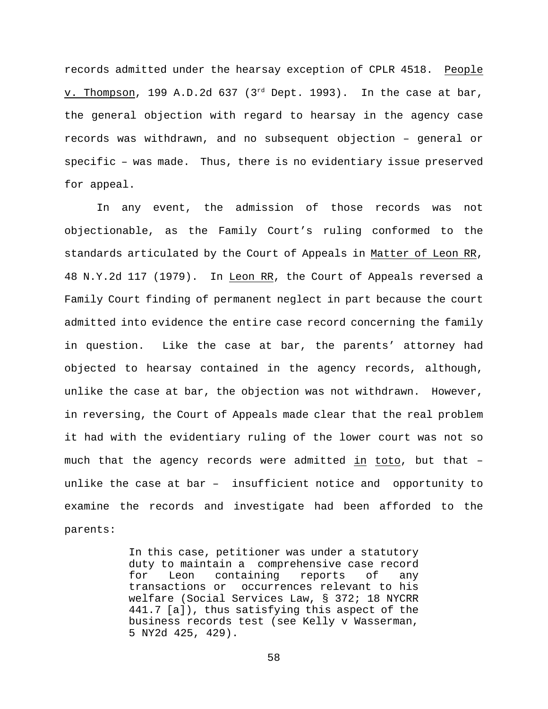records admitted under the hearsay exception of CPLR 4518. People v. Thompson, 199 A.D.2d 637 ( $3<sup>rd</sup>$  Dept. 1993). In the case at bar, the general objection with regard to hearsay in the agency case records was withdrawn, and no subsequent objection – general or specific – was made. Thus, there is no evidentiary issue preserved for appeal.

In any event, the admission of those records was not objectionable, as the Family Court's ruling conformed to the standards articulated by the Court of Appeals in Matter of Leon RR, 48 N.Y.2d 117 (1979). In Leon RR, the Court of Appeals reversed a Family Court finding of permanent neglect in part because the court admitted into evidence the entire case record concerning the family in question. Like the case at bar, the parents' attorney had objected to hearsay contained in the agency records, although, unlike the case at bar, the objection was not withdrawn. However, in reversing, the Court of Appeals made clear that the real problem it had with the evidentiary ruling of the lower court was not so much that the agency records were admitted in toto, but that – unlike the case at bar – insufficient notice and opportunity to examine the records and investigate had been afforded to the parents:

> In this case, petitioner was under a statutory duty to maintain a comprehensive case record for Leon containing reports of any transactions or occurrences relevant to his welfare (Social Services Law, § 372; 18 NYCRR 441.7 [a]), thus satisfying this aspect of the business records test (see Kelly v Wasserman, 5 NY2d 425, 429).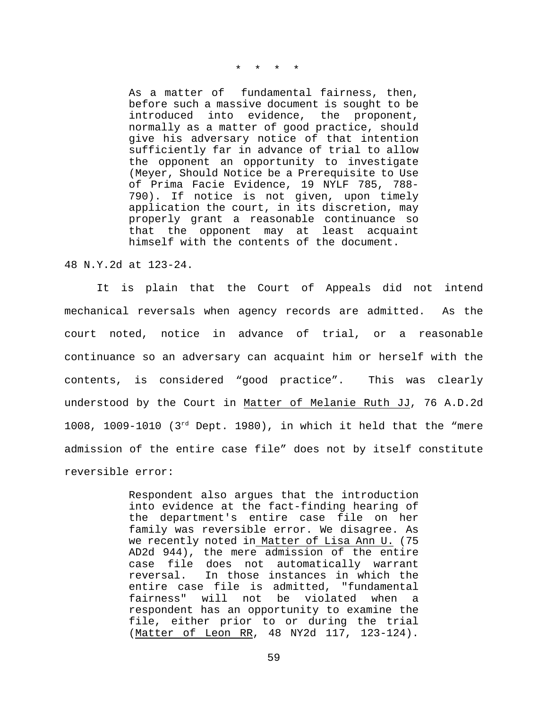\* \* \* \*

As a matter of fundamental fairness, then, before such a massive document is sought to be introduced into evidence, the proponent, normally as a matter of good practice, should give his adversary notice of that intention sufficiently far in advance of trial to allow the opponent an opportunity to investigate (Meyer, Should Notice be a Prerequisite to Use of Prima Facie Evidence, 19 NYLF 785, 788- 790). If notice is not given, upon timely application the court, in its discretion, may properly grant a reasonable continuance so that the opponent may at least acquaint himself with the contents of the document.

48 N.Y.2d at 123-24.

It is plain that the Court of Appeals did not intend mechanical reversals when agency records are admitted. As the court noted, notice in advance of trial, or a reasonable continuance so an adversary can acquaint him or herself with the contents, is considered "good practice". This was clearly understood by the Court in Matter of Melanie Ruth JJ, 76 A.D.2d 1008, 1009-1010 ( $3^{rd}$  Dept. 1980), in which it held that the "mere admission of the entire case file" does not by itself constitute reversible error:

> Respondent also argues that the introduction into evidence at the fact-finding hearing of the department's entire case file on her family was reversible error. We disagree. As we recently noted in Matter of Lisa Ann U. (75 AD2d 944), the mere admission of the entire case file does not automatically warrant reversal. In those instances in which the entire case file is admitted, "fundamental fairness" will not be violated when a respondent has an opportunity to examine the file, either prior to or during the trial (Matter of Leon RR, 48 NY2d 117, 123-124).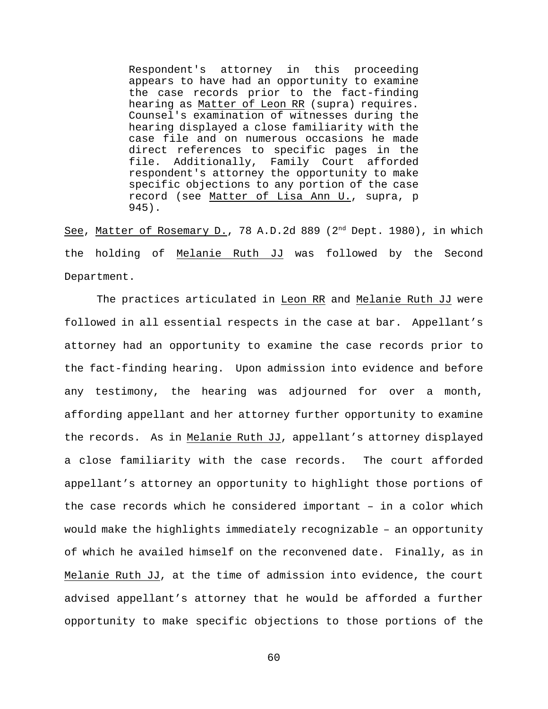Respondent's attorney in this proceeding appears to have had an opportunity to examine the case records prior to the fact-finding hearing as Matter of Leon RR (supra) requires. Counsel's examination of witnesses during the hearing displayed a close familiarity with the case file and on numerous occasions he made direct references to specific pages in the file. Additionally, Family Court afforded respondent's attorney the opportunity to make specific objections to any portion of the case record (see Matter of Lisa Ann U., supra, p 945).

See, Matter of Rosemary D., 78 A.D.2d 889 ( $2<sup>nd</sup>$  Dept. 1980), in which the holding of Melanie Ruth JJ was followed by the Second Department.

The practices articulated in Leon RR and Melanie Ruth JJ were followed in all essential respects in the case at bar. Appellant's attorney had an opportunity to examine the case records prior to the fact-finding hearing. Upon admission into evidence and before any testimony, the hearing was adjourned for over a month, affording appellant and her attorney further opportunity to examine the records. As in Melanie Ruth JJ, appellant's attorney displayed a close familiarity with the case records. The court afforded appellant's attorney an opportunity to highlight those portions of the case records which he considered important – in a color which would make the highlights immediately recognizable – an opportunity of which he availed himself on the reconvened date. Finally, as in Melanie Ruth JJ, at the time of admission into evidence, the court advised appellant's attorney that he would be afforded a further opportunity to make specific objections to those portions of the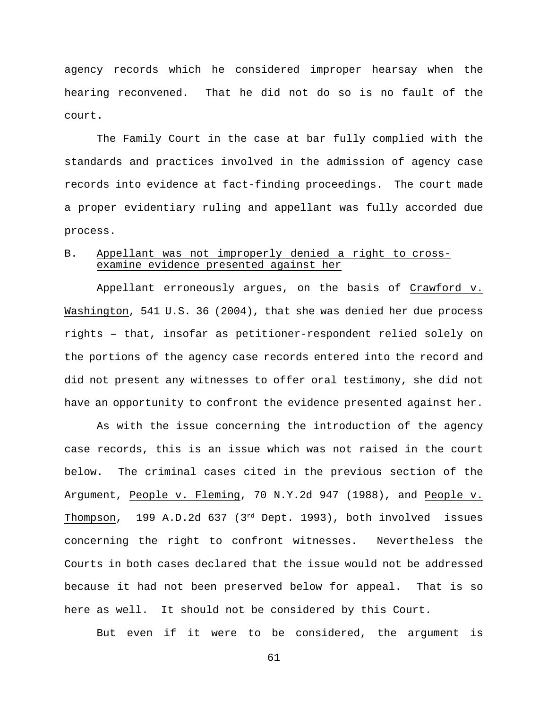agency records which he considered improper hearsay when the hearing reconvened. That he did not do so is no fault of the court.

The Family Court in the case at bar fully complied with the standards and practices involved in the admission of agency case records into evidence at fact-finding proceedings. The court made a proper evidentiary ruling and appellant was fully accorded due process.

# B. Appellant was not improperly denied a right to crossexamine evidence presented against her

Appellant erroneously argues, on the basis of Crawford v. Washington, 541 U.S. 36 (2004), that she was denied her due process rights – that, insofar as petitioner-respondent relied solely on the portions of the agency case records entered into the record and did not present any witnesses to offer oral testimony, she did not have an opportunity to confront the evidence presented against her.

As with the issue concerning the introduction of the agency case records, this is an issue which was not raised in the court below. The criminal cases cited in the previous section of the Argument, People v. Fleming, 70 N.Y.2d 947 (1988), and People v. Thompson, 199 A.D.2d 637 ( $3<sup>rd</sup>$  Dept. 1993), both involved issues concerning the right to confront witnesses. Nevertheless the Courts in both cases declared that the issue would not be addressed because it had not been preserved below for appeal. That is so here as well. It should not be considered by this Court.

But even if it were to be considered, the argument is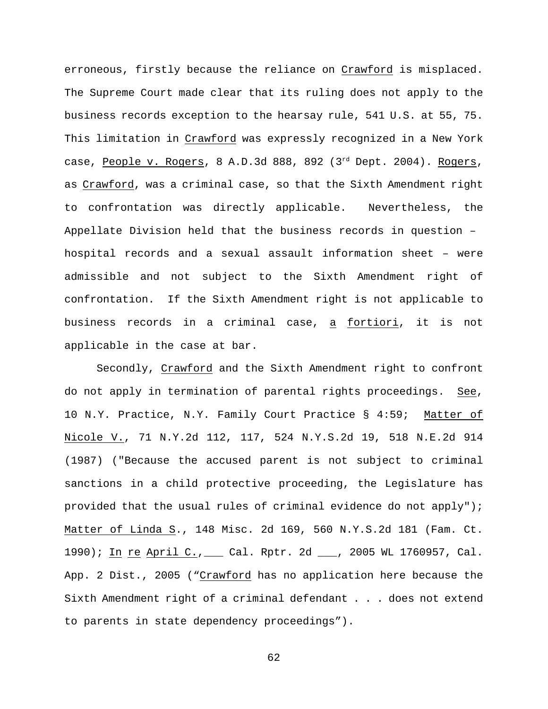erroneous, firstly because the reliance on Crawford is misplaced. The Supreme Court made clear that its ruling does not apply to the business records exception to the hearsay rule, 541 U.S. at 55, 75. This limitation in Crawford was expressly recognized in a New York case, People v. Rogers, 8 A.D.3d 888, 892 ( $3<sup>rd</sup>$  Dept. 2004). Rogers, as Crawford, was a criminal case, so that the Sixth Amendment right to confrontation was directly applicable. Nevertheless, the Appellate Division held that the business records in question – hospital records and a sexual assault information sheet – were admissible and not subject to the Sixth Amendment right of confrontation. If the Sixth Amendment right is not applicable to business records in a criminal case, a fortiori, it is not applicable in the case at bar.

Secondly, Crawford and the Sixth Amendment right to confront do not apply in termination of parental rights proceedings. See, 10 N.Y. Practice, N.Y. Family Court Practice § 4:59; Matter of Nicole V., 71 N.Y.2d 112, 117, 524 N.Y.S.2d 19, 518 N.E.2d 914 (1987) ("Because the accused parent is not subject to criminal sanctions in a child protective proceeding, the Legislature has provided that the usual rules of criminal evidence do not apply"); Matter of Linda S., 148 Misc. 2d 169, 560 N.Y.S.2d 181 (Fam. Ct. 1990); In re April C.,\_\_\_ Cal. Rptr. 2d \_\_\_, 2005 WL 1760957, Cal. App. 2 Dist., 2005 ("Crawford has no application here because the Sixth Amendment right of a criminal defendant . . . does not extend to parents in state dependency proceedings").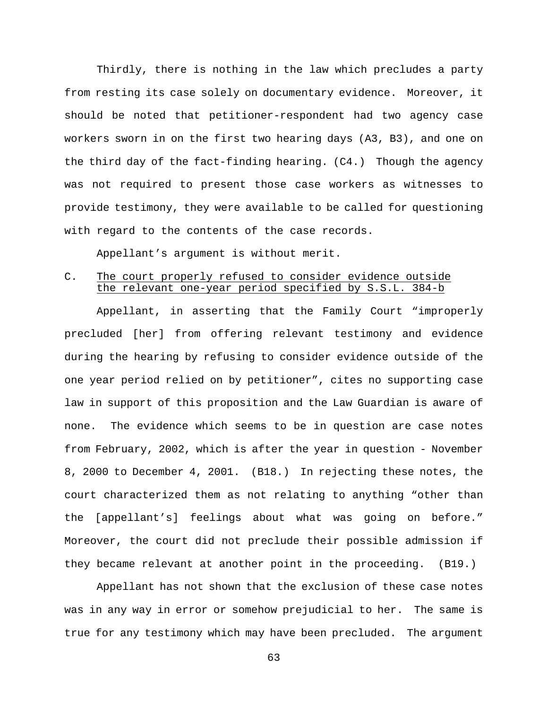Thirdly, there is nothing in the law which precludes a party from resting its case solely on documentary evidence. Moreover, it should be noted that petitioner-respondent had two agency case workers sworn in on the first two hearing days (A3, B3), and one on the third day of the fact-finding hearing. (C4.) Though the agency was not required to present those case workers as witnesses to provide testimony, they were available to be called for questioning with regard to the contents of the case records.

Appellant's argument is without merit.

### C. The court properly refused to consider evidence outside the relevant one-year period specified by S.S.L. 384-b

Appellant, in asserting that the Family Court "improperly precluded [her] from offering relevant testimony and evidence during the hearing by refusing to consider evidence outside of the one year period relied on by petitioner", cites no supporting case law in support of this proposition and the Law Guardian is aware of none. The evidence which seems to be in question are case notes from February, 2002, which is after the year in question - November 8, 2000 to December 4, 2001. (B18.) In rejecting these notes, the court characterized them as not relating to anything "other than the [appellant's] feelings about what was going on before." Moreover, the court did not preclude their possible admission if they became relevant at another point in the proceeding. (B19.)

Appellant has not shown that the exclusion of these case notes was in any way in error or somehow prejudicial to her. The same is true for any testimony which may have been precluded. The argument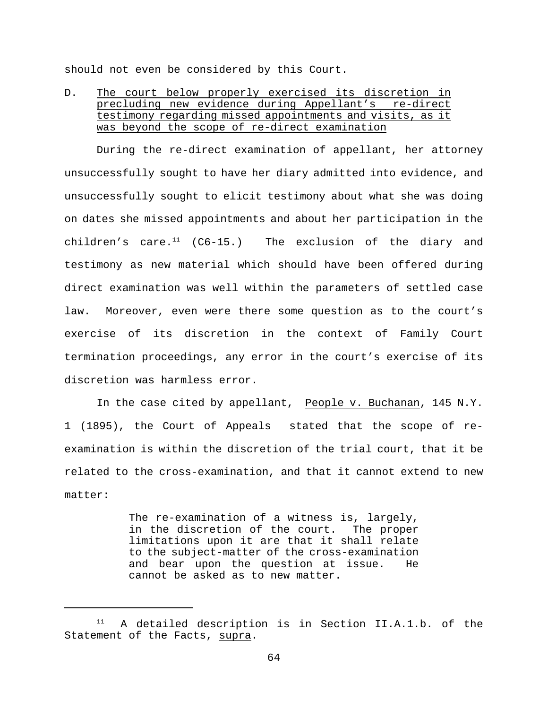should not even be considered by this Court.

# D. The court below properly exercised its discretion in precluding new evidence during Appellant's re-direct testimony regarding missed appointments and visits, as it was beyond the scope of re-direct examination

During the re-direct examination of appellant, her attorney unsuccessfully sought to have her diary admitted into evidence, and unsuccessfully sought to elicit testimony about what she was doing on dates she missed appointments and about her participation in the children's care.<sup>11</sup> (C6-15.) The exclusion of the diary and testimony as new material which should have been offered during direct examination was well within the parameters of settled case law. Moreover, even were there some question as to the court's exercise of its discretion in the context of Family Court termination proceedings, any error in the court's exercise of its discretion was harmless error.

In the case cited by appellant, People v. Buchanan, 145 N.Y. 1 (1895), the Court of Appeals stated that the scope of reexamination is within the discretion of the trial court, that it be related to the cross-examination, and that it cannot extend to new matter:

> The re-examination of a witness is, largely, in the discretion of the court. The proper limitations upon it are that it shall relate to the subject-matter of the cross-examination and bear upon the question at issue. He cannot be asked as to new matter.

 $11$  A detailed description is in Section II.A.1.b. of the Statement of the Facts, supra.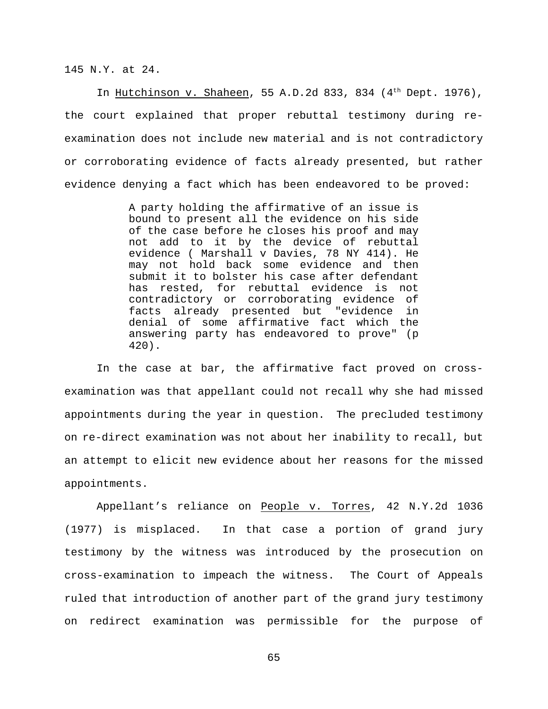145 N.Y. at 24.

In Hutchinson v. Shaheen, 55 A.D.2d 833, 834 ( $4<sup>th</sup>$  Dept. 1976), the court explained that proper rebuttal testimony during reexamination does not include new material and is not contradictory or corroborating evidence of facts already presented, but rather evidence denying a fact which has been endeavored to be proved:

> A party holding the affirmative of an issue is bound to present all the evidence on his side of the case before he closes his proof and may not add to it by the device of rebuttal evidence ( Marshall v Davies, 78 NY 414). He may not hold back some evidence and then submit it to bolster his case after defendant has rested, for rebuttal evidence is not contradictory or corroborating evidence of facts already presented but "evidence in denial of some affirmative fact which the answering party has endeavored to prove" (p 420).

In the case at bar, the affirmative fact proved on crossexamination was that appellant could not recall why she had missed appointments during the year in question. The precluded testimony on re-direct examination was not about her inability to recall, but an attempt to elicit new evidence about her reasons for the missed appointments.

Appellant's reliance on People v. Torres, 42 N.Y.2d 1036 (1977) is misplaced. In that case a portion of grand jury testimony by the witness was introduced by the prosecution on cross-examination to impeach the witness. The Court of Appeals ruled that introduction of another part of the grand jury testimony on redirect examination was permissible for the purpose of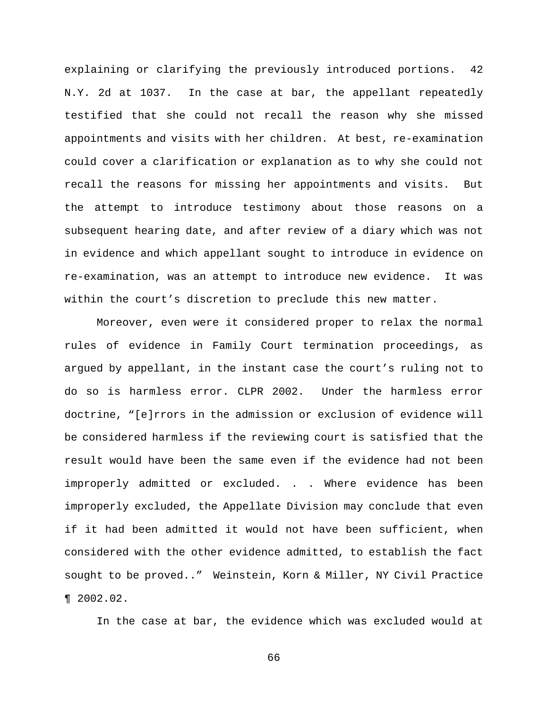explaining or clarifying the previously introduced portions. 42 N.Y. 2d at 1037. In the case at bar, the appellant repeatedly testified that she could not recall the reason why she missed appointments and visits with her children. At best, re-examination could cover a clarification or explanation as to why she could not recall the reasons for missing her appointments and visits. But the attempt to introduce testimony about those reasons on a subsequent hearing date, and after review of a diary which was not in evidence and which appellant sought to introduce in evidence on re-examination, was an attempt to introduce new evidence. It was within the court's discretion to preclude this new matter.

Moreover, even were it considered proper to relax the normal rules of evidence in Family Court termination proceedings, as argued by appellant, in the instant case the court's ruling not to do so is harmless error. CLPR 2002. Under the harmless error doctrine, "[e]rrors in the admission or exclusion of evidence will be considered harmless if the reviewing court is satisfied that the result would have been the same even if the evidence had not been improperly admitted or excluded. . . Where evidence has been improperly excluded, the Appellate Division may conclude that even if it had been admitted it would not have been sufficient, when considered with the other evidence admitted, to establish the fact sought to be proved.." Weinstein, Korn & Miller, NY Civil Practice ¶ 2002.02.

In the case at bar, the evidence which was excluded would at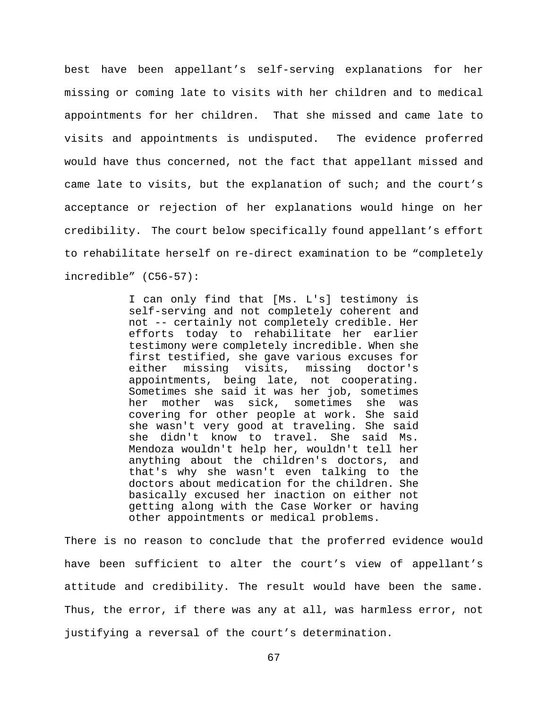best have been appellant's self-serving explanations for her missing or coming late to visits with her children and to medical appointments for her children. That she missed and came late to visits and appointments is undisputed. The evidence proferred would have thus concerned, not the fact that appellant missed and came late to visits, but the explanation of such; and the court's acceptance or rejection of her explanations would hinge on her credibility. The court below specifically found appellant's effort to rehabilitate herself on re-direct examination to be "completely incredible" (C56-57):

> I can only find that [Ms. L's] testimony is self-serving and not completely coherent and not -- certainly not completely credible. Her efforts today to rehabilitate her earlier testimony were completely incredible. When she first testified, she gave various excuses for either missing visits, missing doctor's appointments, being late, not cooperating. Sometimes she said it was her job, sometimes her mother was sick, sometimes she was covering for other people at work. She said she wasn't very good at traveling. She said she didn't know to travel. She said Ms. Mendoza wouldn't help her, wouldn't tell her anything about the children's doctors, and that's why she wasn't even talking to the doctors about medication for the children. She basically excused her inaction on either not getting along with the Case Worker or having other appointments or medical problems.

There is no reason to conclude that the proferred evidence would have been sufficient to alter the court's view of appellant's attitude and credibility. The result would have been the same. Thus, the error, if there was any at all, was harmless error, not justifying a reversal of the court's determination.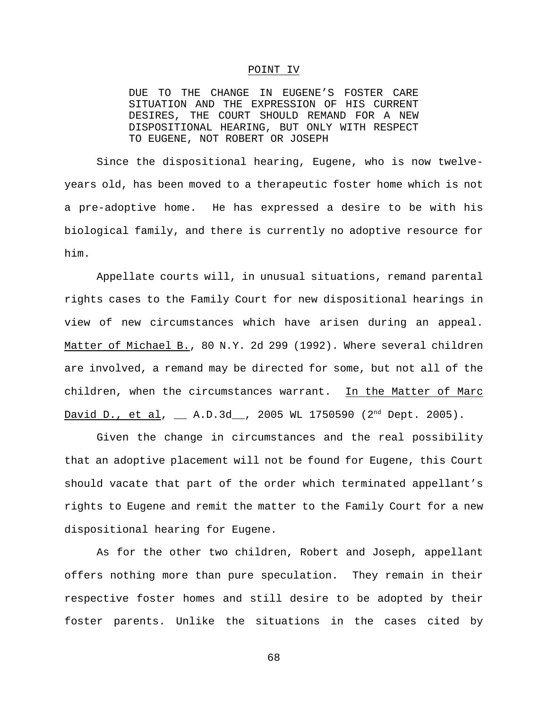### POINT IV

DUE TO THE CHANGE IN EUGENE'S FOSTER CARE SITUATION AND THE EXPRESSION OF HIS CURRENT DESIRES, THE COURT SHOULD REMAND FOR A NEW DISPOSITIONAL HEARING, BUT ONLY WITH RESPECT TO EUGENE, NOT ROBERT OR JOSEPH

Since the dispositional hearing, Eugene, who is now twelveyears old, has been moved to a therapeutic foster home which is not a pre-adoptive home. He has expressed a desire to be with his biological family, and there is currently no adoptive resource for him.

Appellate courts will, in unusual situations, remand parental rights cases to the Family Court for new dispositional hearings in view of new circumstances which have arisen during an appeal. Matter of Michael B., 80 N.Y. 2d 299 (1992). Where several children are involved, a remand may be directed for some, but not all of the children, when the circumstances warrant. In the Matter of Marc David D., et al,  $\_\_$  A.D.3d $\_\_$ , 2005 WL 1750590 (2<sup>nd</sup> Dept. 2005).

Given the change in circumstances and the real possibility that an adoptive placement will not be found for Eugene, this Court should vacate that part of the order which terminated appellant's rights to Eugene and remit the matter to the Family Court for a new dispositional hearing for Eugene.

As for the other two children, Robert and Joseph, appellant offers nothing more than pure speculation. They remain in their respective foster homes and still desire to be adopted by their foster parents. Unlike the situations in the cases cited by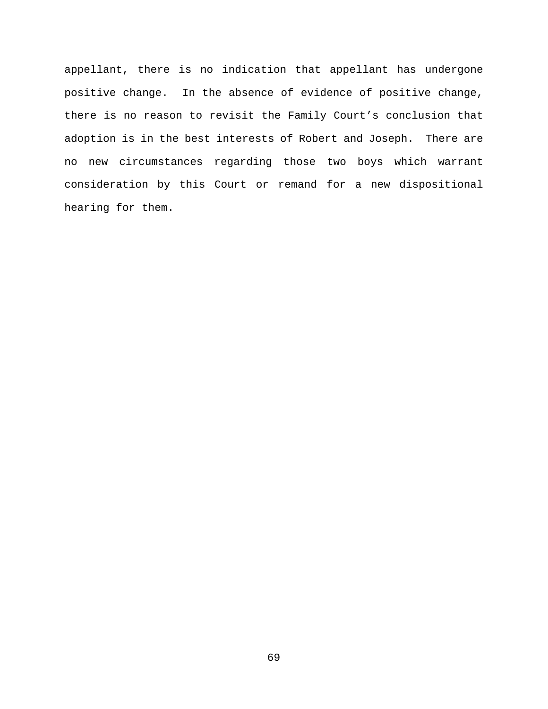appellant, there is no indication that appellant has undergone positive change. In the absence of evidence of positive change, there is no reason to revisit the Family Court's conclusion that adoption is in the best interests of Robert and Joseph. There are no new circumstances regarding those two boys which warrant consideration by this Court or remand for a new dispositional hearing for them.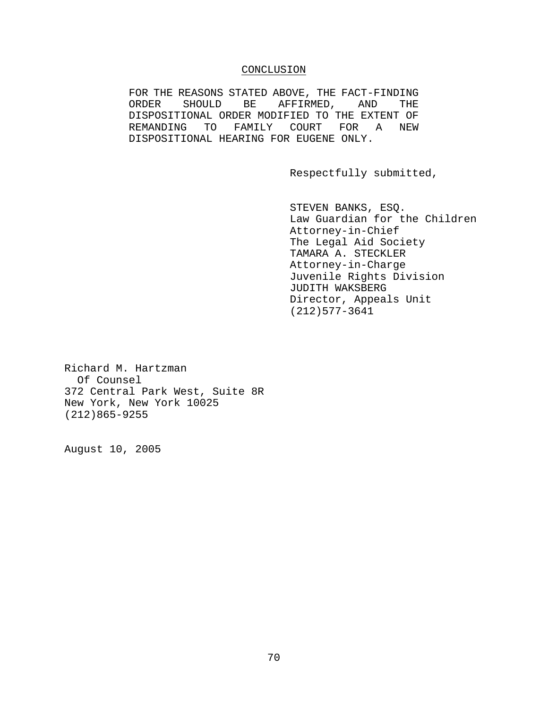## CONCLUSION

FOR THE REASONS STATED ABOVE, THE FACT-FINDING ORDER SHOULD BE AFFIRMED, AND THE DISPOSITIONAL ORDER MODIFIED TO THE EXTENT OF REMANDING TO FAMILY COURT FOR A NEW DISPOSITIONAL HEARING FOR EUGENE ONLY.

Respectfully submitted,

STEVEN BANKS, ESQ. Law Guardian for the Children Attorney-in-Chief The Legal Aid Society TAMARA A. STECKLER Attorney-in-Charge Juvenile Rights Division JUDITH WAKSBERG Director, Appeals Unit (212)577-3641

Richard M. Hartzman Of Counsel 372 Central Park West, Suite 8R New York, New York 10025 (212)865-9255

August 10, 2005